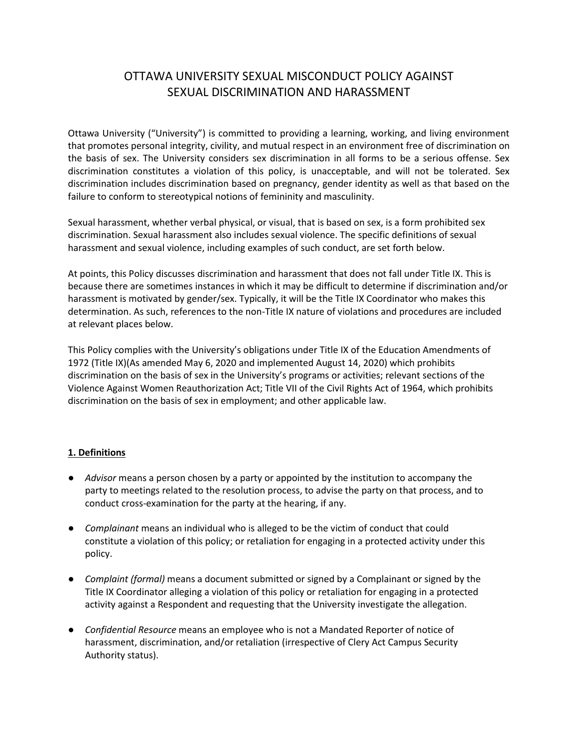# OTTAWA UNIVERSITY SEXUAL MISCONDUCT POLICY AGAINST SEXUAL DISCRIMINATION AND HARASSMENT

Ottawa University ("University") is committed to providing a learning, working, and living environment that promotes personal integrity, civility, and mutual respect in an environment free of discrimination on the basis of sex. The University considers sex discrimination in all forms to be a serious offense. Sex discrimination constitutes a violation of this policy, is unacceptable, and will not be tolerated. Sex discrimination includes discrimination based on pregnancy, gender identity as well as that based on the failure to conform to stereotypical notions of femininity and masculinity.

Sexual harassment, whether verbal physical, or visual, that is based on sex, is a form prohibited sex discrimination. Sexual harassment also includes sexual violence. The specific definitions of sexual harassment and sexual violence, including examples of such conduct, are set forth below.

At points, this Policy discusses discrimination and harassment that does not fall under Title IX. This is because there are sometimes instances in which it may be difficult to determine if discrimination and/or harassment is motivated by gender/sex. Typically, it will be the Title IX Coordinator who makes this determination. As such, references to the non-Title IX nature of violations and procedures are included at relevant places below.

This Policy complies with the University's obligations under Title IX of the Education Amendments of 1972 (Title IX)(As amended May 6, 2020 and implemented August 14, 2020) which prohibits discrimination on the basis of sex in the University's programs or activities; relevant sections of the Violence Against Women Reauthorization Act; Title VII of the Civil Rights Act of 1964, which prohibits discrimination on the basis of sex in employment; and other applicable law.

#### **1. Definitions**

- *Advisor* means a person chosen by a party or appointed by the institution to accompany the party to meetings related to the resolution process, to advise the party on that process, and to conduct cross-examination for the party at the hearing, if any.
- *Complainant* means an individual who is alleged to be the victim of conduct that could constitute a violation of this policy; or retaliation for engaging in a protected activity under this policy.
- *Complaint (formal)* means a document submitted or signed by a Complainant or signed by the Title IX Coordinator alleging a violation of this policy or retaliation for engaging in a protected activity against a Respondent and requesting that the University investigate the allegation.
- *Confidential Resource* means an employee who is not a Mandated Reporter of notice of harassment, discrimination, and/or retaliation (irrespective of Clery Act Campus Security Authority status).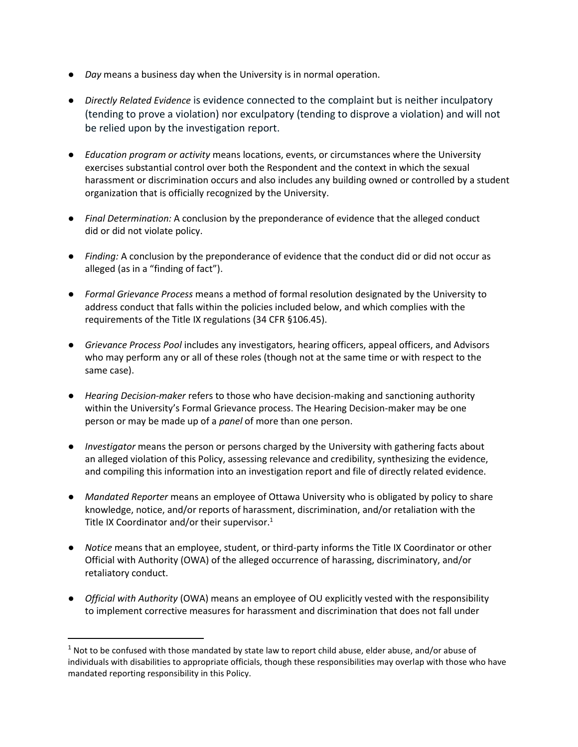- *Day* means a business day when the University is in normal operation.
- *Directly Related Evidence* is evidence connected to the complaint but is neither inculpatory (tending to prove a violation) nor exculpatory (tending to disprove a violation) and will not be relied upon by the investigation report.
- *Education program or activity* means locations, events, or circumstances where the University exercises substantial control over both the Respondent and the context in which the sexual harassment or discrimination occurs and also includes any building owned or controlled by a student organization that is officially recognized by the University.
- *Final Determination:* A conclusion by the preponderance of evidence that the alleged conduct did or did not violate policy.
- *Finding:* A conclusion by the preponderance of evidence that the conduct did or did not occur as alleged (as in a "finding of fact").
- *Formal Grievance Process* means a method of formal resolution designated by the University to address conduct that falls within the policies included below, and which complies with the requirements of the Title IX regulations (34 CFR §106.45).
- *Grievance Process Pool* includes any investigators, hearing officers, appeal officers, and Advisors who may perform any or all of these roles (though not at the same time or with respect to the same case).
- *Hearing Decision-maker* refers to those who have decision-making and sanctioning authority within the University's Formal Grievance process. The Hearing Decision-maker may be one person or may be made up of a *panel* of more than one person.
- *Investigator* means the person or persons charged by the University with gathering facts about an alleged violation of this Policy, assessing relevance and credibility, synthesizing the evidence, and compiling this information into an investigation report and file of directly related evidence.
- *Mandated Reporter* means an employee of Ottawa University who is obligated by policy to share knowledge, notice, and/or reports of harassment, discrimination, and/or retaliation with the Title IX Coordinator and/or their supervisor. $1$
- *Notice* means that an employee, student, or third-party informs the Title IX Coordinator or other Official with Authority (OWA) of the alleged occurrence of harassing, discriminatory, and/or retaliatory conduct.
- *Official with Authority* (OWA) means an employee of OU explicitly vested with the responsibility to implement corrective measures for harassment and discrimination that does not fall under

 $\overline{\phantom{a}}$ 

 $1$  Not to be confused with those mandated by state law to report child abuse, elder abuse, and/or abuse of individuals with disabilities to appropriate officials, though these responsibilities may overlap with those who have mandated reporting responsibility in this Policy.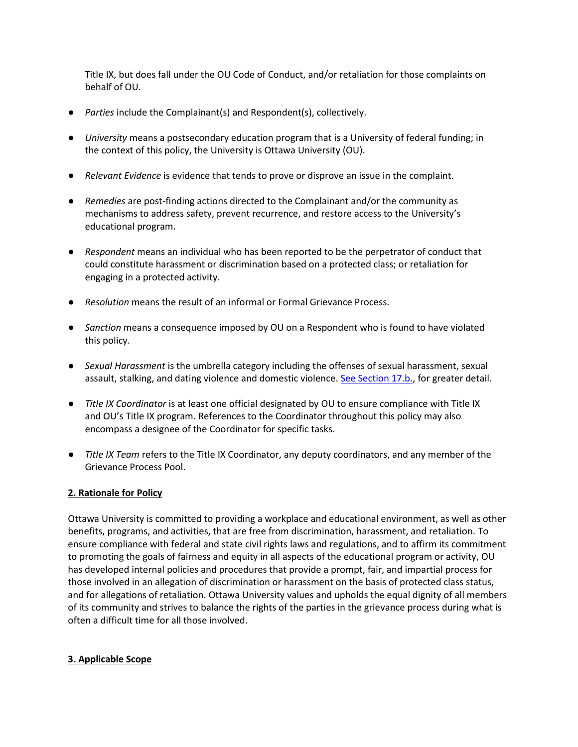Title IX, but does fall under the OU Code of Conduct, and/or retaliation for those complaints on behalf of OU.

- *Parties* include the Complainant(s) and Respondent(s), collectively.
- *University* means a postsecondary education program that is a University of federal funding; in the context of this policy, the University is Ottawa University (OU).
- *Relevant Evidence* is evidence that tends to prove or disprove an issue in the complaint.
- *Remedies* are post-finding actions directed to the Complainant and/or the community as mechanisms to address safety, prevent recurrence, and restore access to the University's educational program.
- *Respondent* means an individual who has been reported to be the perpetrator of conduct that could constitute harassment or discrimination based on a protected class; or retaliation for engaging in a protected activity.
- *Resolution* means the result of an informal or Formal Grievance Process.
- *Sanction* means a consequence imposed by OU on a Respondent who is found to have violated this policy.
- *Sexual Harassment* is the umbrella category including the offenses of sexual harassment, sexual assault, stalking, and dating violence and domestic violence. [See Section 17.b.,](#page-10-0) for greater detail.
- *Title IX Coordinator* is at least one official designated by OU to ensure compliance with Title IX and OU's Title IX program. References to the Coordinator throughout this policy may also encompass a designee of the Coordinator for specific tasks.
- *Title IX Team* refers to the Title IX Coordinator, any deputy coordinators, and any member of the Grievance Process Pool.

#### **2. Rationale for Policy**

Ottawa University is committed to providing a workplace and educational environment, as well as other benefits, programs, and activities, that are free from discrimination, harassment, and retaliation. To ensure compliance with federal and state civil rights laws and regulations, and to affirm its commitment to promoting the goals of fairness and equity in all aspects of the educational program or activity, OU has developed internal policies and procedures that provide a prompt, fair, and impartial process for those involved in an allegation of discrimination or harassment on the basis of protected class status, and for allegations of retaliation. Ottawa University values and upholds the equal dignity of all members of its community and strives to balance the rights of the parties in the grievance process during what is often a difficult time for all those involved.

#### **3. Applicable Scope**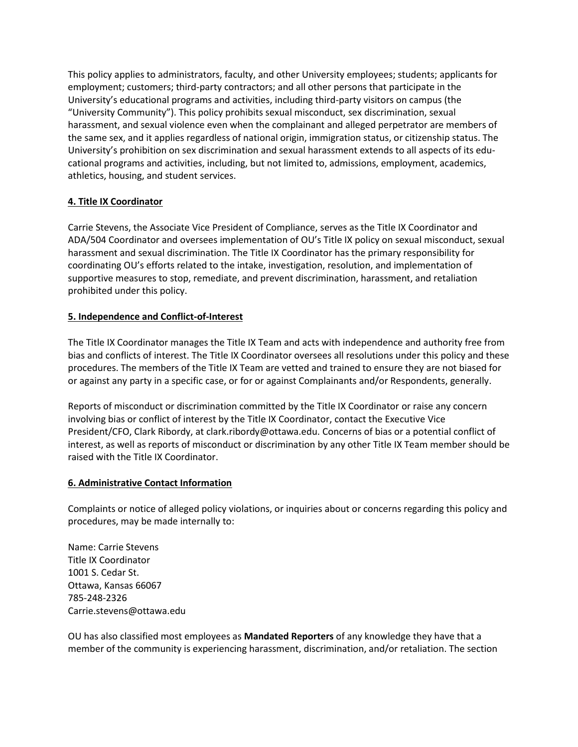This policy applies to administrators, faculty, and other University employees; students; applicants for employment; customers; third-party contractors; and all other persons that participate in the University's educational programs and activities, including third-party visitors on campus (the "University Community"). This policy prohibits sexual misconduct, sex discrimination, sexual harassment, and sexual violence even when the complainant and alleged perpetrator are members of the same sex, and it applies regardless of national origin, immigration status, or citizenship status. The University's prohibition on sex discrimination and sexual harassment extends to all aspects of its educational programs and activities, including, but not limited to, admissions, employment, academics, athletics, housing, and student services.

# **4. Title IX Coordinator**

Carrie Stevens, the Associate Vice President of Compliance, serves as the Title IX Coordinator and ADA/504 Coordinator and oversees implementation of OU's Title IX policy on sexual misconduct, sexual harassment and sexual discrimination. The Title IX Coordinator has the primary responsibility for coordinating OU's efforts related to the intake, investigation, resolution, and implementation of supportive measures to stop, remediate, and prevent discrimination, harassment, and retaliation prohibited under this policy.

### **5. Independence and Conflict-of-Interest**

The Title IX Coordinator manages the Title IX Team and acts with independence and authority free from bias and conflicts of interest. The Title IX Coordinator oversees all resolutions under this policy and these procedures. The members of the Title IX Team are vetted and trained to ensure they are not biased for or against any party in a specific case, or for or against Complainants and/or Respondents, generally.

Reports of misconduct or discrimination committed by the Title IX Coordinator or raise any concern involving bias or conflict of interest by the Title IX Coordinator, contact the Executive Vice President/CFO, Clark Ribordy, at clark.ribordy@ottawa.edu. Concerns of bias or a potential conflict of interest, as well as reports of misconduct or discrimination by any other Title IX Team member should be raised with the Title IX Coordinator.

#### **6. Administrative Contact Information**

Complaints or notice of alleged policy violations, or inquiries about or concerns regarding this policy and procedures, may be made internally to:

Name: Carrie Stevens Title IX Coordinator 1001 S. Cedar St. Ottawa, Kansas 66067 785-248-2326 Carrie.stevens@ottawa.edu

OU has also classified most employees as **Mandated Reporters** of any knowledge they have that a member of the community is experiencing harassment, discrimination, and/or retaliation. The section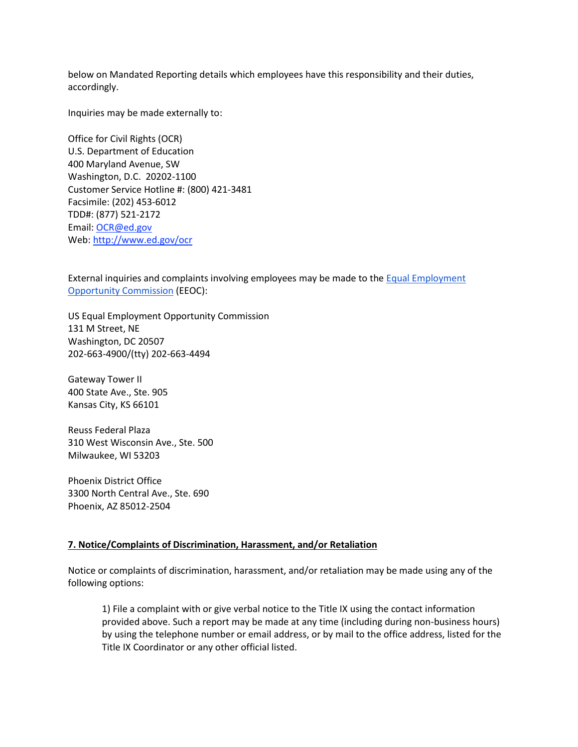below on Mandated Reporting details which employees have this responsibility and their duties, accordingly.

Inquiries may be made externally to:

Office for Civil Rights (OCR) U.S. Department of Education 400 Maryland Avenue, SW Washington, D.C. 20202-1100 Customer Service Hotline #: (800) 421-3481 Facsimile: (202) 453-6012 TDD#: (877) 521-2172 Email: [OCR@ed.gov](mailto:OCR@ed.gov) Web: [http://www.ed.gov/ocr](http://www2.ed.gov/about/offices/list/ocr/index.html)

External inquiries and complaints involving employees may be made to the [Equal Employment](http://www.eeoc.gov/contact/)  [Opportunity Commission](http://www.eeoc.gov/contact/) [\(](http://www.eeoc.gov/contact/)EEOC):

US Equal Employment Opportunity Commission 131 M Street, NE Washington, DC 20507 202-663-4900/(tty) 202-663-4494

Gateway Tower II 400 State Ave., Ste. 905 Kansas City, KS 66101

Reuss Federal Plaza 310 West Wisconsin Ave., Ste. 500 Milwaukee, WI 53203

Phoenix District Office 3300 North Central Ave., Ste. 690 Phoenix, AZ 85012-2504

#### **7. Notice/Complaints of Discrimination, Harassment, and/or Retaliation**

Notice or complaints of discrimination, harassment, and/or retaliation may be made using any of the following options:

1) File a complaint with or give verbal notice to the Title IX using the contact information provided above. Such a report may be made at any time (including during non-business hours) by using the telephone number or email address, or by mail to the office address, listed for the Title IX Coordinator or any other official listed.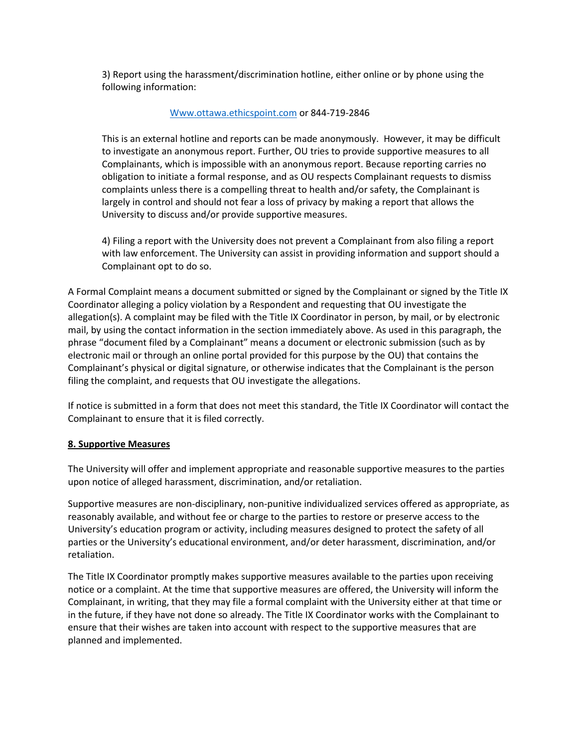3) Report using the harassment/discrimination hotline, either online or by phone using the following information:

#### [Www.ottawa.ethicspoint.com](http://www.ottawa.ethicspoint.com/) or 844-719-2846

This is an external hotline and reports can be made anonymously. However, it may be difficult to investigate an anonymous report. Further, OU tries to provide supportive measures to all Complainants, which is impossible with an anonymous report. Because reporting carries no obligation to initiate a formal response, and as OU respects Complainant requests to dismiss complaints unless there is a compelling threat to health and/or safety, the Complainant is largely in control and should not fear a loss of privacy by making a report that allows the University to discuss and/or provide supportive measures.

4) Filing a report with the University does not prevent a Complainant from also filing a report with law enforcement. The University can assist in providing information and support should a Complainant opt to do so.

A Formal Complaint means a document submitted or signed by the Complainant or signed by the Title IX Coordinator alleging a policy violation by a Respondent and requesting that OU investigate the allegation(s). A complaint may be filed with the Title IX Coordinator in person, by mail, or by electronic mail, by using the contact information in the section immediately above. As used in this paragraph, the phrase "document filed by a Complainant" means a document or electronic submission (such as by electronic mail or through an online portal provided for this purpose by the OU) that contains the Complainant's physical or digital signature, or otherwise indicates that the Complainant is the person filing the complaint, and requests that OU investigate the allegations.

If notice is submitted in a form that does not meet this standard, the Title IX Coordinator will contact the Complainant to ensure that it is filed correctly.

#### **8. Supportive Measures**

The University will offer and implement appropriate and reasonable supportive measures to the parties upon notice of alleged harassment, discrimination, and/or retaliation.

Supportive measures are non-disciplinary, non-punitive individualized services offered as appropriate, as reasonably available, and without fee or charge to the parties to restore or preserve access to the University's education program or activity, including measures designed to protect the safety of all parties or the University's educational environment, and/or deter harassment, discrimination, and/or retaliation.

The Title IX Coordinator promptly makes supportive measures available to the parties upon receiving notice or a complaint. At the time that supportive measures are offered, the University will inform the Complainant, in writing, that they may file a formal complaint with the University either at that time or in the future, if they have not done so already. The Title IX Coordinator works with the Complainant to ensure that their wishes are taken into account with respect to the supportive measures that are planned and implemented.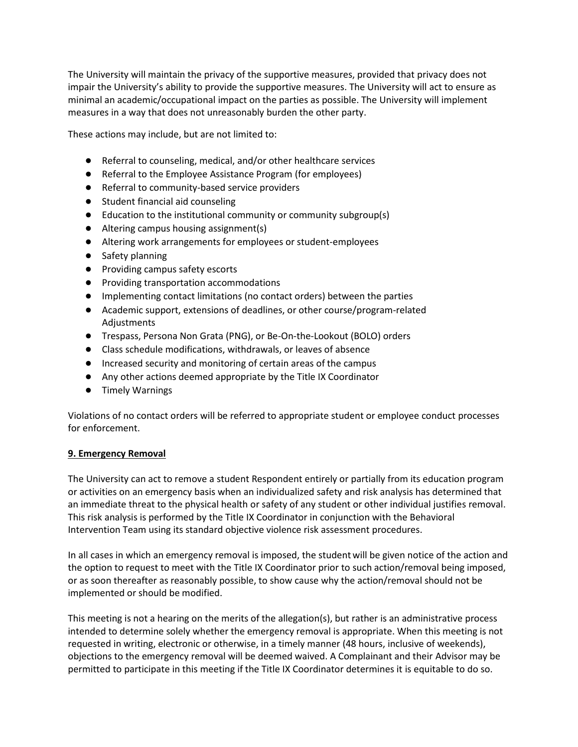The University will maintain the privacy of the supportive measures, provided that privacy does not impair the University's ability to provide the supportive measures. The University will act to ensure as minimal an academic/occupational impact on the parties as possible. The University will implement measures in a way that does not unreasonably burden the other party.

These actions may include, but are not limited to:

- Referral to counseling, medical, and/or other healthcare services
- Referral to the Employee Assistance Program (for employees)
- Referral to community-based service providers
- Student financial aid counseling
- Education to the institutional community or community subgroup(s)
- Altering campus housing assignment(s)
- Altering work arrangements for employees or student-employees
- Safety planning
- Providing campus safety escorts
- Providing transportation accommodations
- Implementing contact limitations (no contact orders) between the parties
- Academic support, extensions of deadlines, or other course/program-related Adjustments
- Trespass, Persona Non Grata (PNG), or Be-On-the-Lookout (BOLO) orders
- Class schedule modifications, withdrawals, or leaves of absence
- Increased security and monitoring of certain areas of the campus
- Any other actions deemed appropriate by the Title IX Coordinator
- Timely Warnings

Violations of no contact orders will be referred to appropriate student or employee conduct processes for enforcement.

#### **9. Emergency Removal**

The University can act to remove a student Respondent entirely or partially from its education program or activities on an emergency basis when an individualized safety and risk analysis has determined that an immediate threat to the physical health or safety of any student or other individual justifies removal. This risk analysis is performed by the Title IX Coordinator in conjunction with the Behavioral Intervention Team using its standard objective violence risk assessment procedures.

In all cases in which an emergency removal is imposed, the student will be given notice of the action and the option to request to meet with the Title IX Coordinator prior to such action/removal being imposed, or as soon thereafter as reasonably possible, to show cause why the action/removal should not be implemented or should be modified.

This meeting is not a hearing on the merits of the allegation(s), but rather is an administrative process intended to determine solely whether the emergency removal is appropriate. When this meeting is not requested in writing, electronic or otherwise, in a timely manner (48 hours, inclusive of weekends), objections to the emergency removal will be deemed waived. A Complainant and their Advisor may be permitted to participate in this meeting if the Title IX Coordinator determines it is equitable to do so.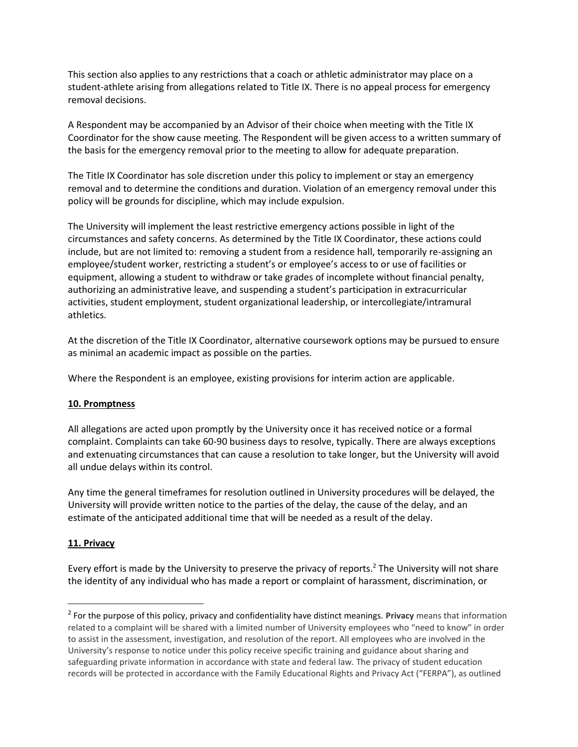This section also applies to any restrictions that a coach or athletic administrator may place on a student-athlete arising from allegations related to Title IX. There is no appeal process for emergency removal decisions.

A Respondent may be accompanied by an Advisor of their choice when meeting with the Title IX Coordinator for the show cause meeting. The Respondent will be given access to a written summary of the basis for the emergency removal prior to the meeting to allow for adequate preparation.

The Title IX Coordinator has sole discretion under this policy to implement or stay an emergency removal and to determine the conditions and duration. Violation of an emergency removal under this policy will be grounds for discipline, which may include expulsion.

The University will implement the least restrictive emergency actions possible in light of the circumstances and safety concerns. As determined by the Title IX Coordinator, these actions could include, but are not limited to: removing a student from a residence hall, temporarily re-assigning an employee/student worker, restricting a student's or employee's access to or use of facilities or equipment, allowing a student to withdraw or take grades of incomplete without financial penalty, authorizing an administrative leave, and suspending a student's participation in extracurricular activities, student employment, student organizational leadership, or intercollegiate/intramural athletics.

At the discretion of the Title IX Coordinator, alternative coursework options may be pursued to ensure as minimal an academic impact as possible on the parties.

Where the Respondent is an employee, existing provisions for interim action are applicable.

#### **10. Promptness**

All allegations are acted upon promptly by the University once it has received notice or a formal complaint. Complaints can take 60-90 business days to resolve, typically. There are always exceptions and extenuating circumstances that can cause a resolution to take longer, but the University will avoid all undue delays within its control.

Any time the general timeframes for resolution outlined in University procedures will be delayed, the University will provide written notice to the parties of the delay, the cause of the delay, and an estimate of the anticipated additional time that will be needed as a result of the delay.

#### **11. Privacy**

 $\overline{\phantom{a}}$ 

Every effort is made by the University to preserve the privacy of reports.<sup>2</sup> The University will not share the identity of any individual who has made a report or complaint of harassment, discrimination, or

<sup>2</sup> For the purpose of this policy, privacy and confidentiality have distinct meanings. **Privacy** means that information related to a complaint will be shared with a limited number of University employees who "need to know" in order to assist in the assessment, investigation, and resolution of the report. All employees who are involved in the University's response to notice under this policy receive specific training and guidance about sharing and safeguarding private information in accordance with state and federal law. The privacy of student education records will be protected in accordance with the Family Educational Rights and Privacy Act ("FERPA"), as outlined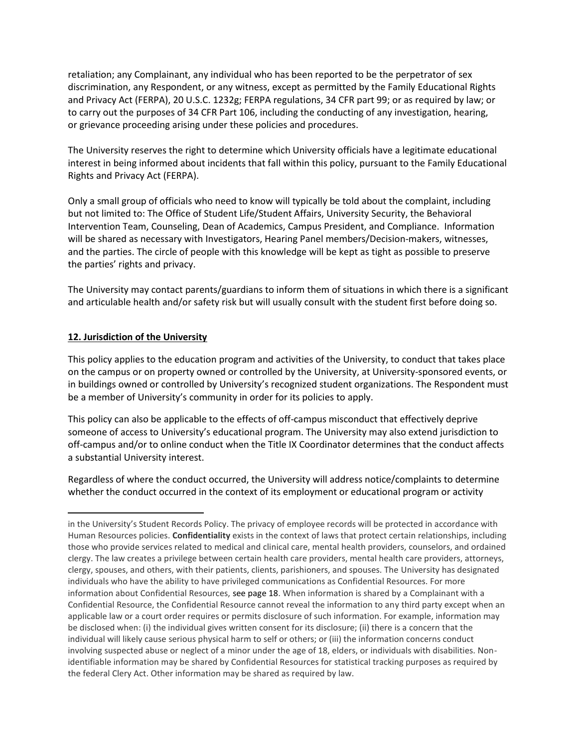retaliation; any Complainant, any individual who has been reported to be the perpetrator of sex discrimination, any Respondent, or any witness, except as permitted by the Family Educational Rights and Privacy Act (FERPA), 20 U.S.C. 1232g; FERPA regulations, 34 CFR part 99; or as required by law; or to carry out the purposes of 34 CFR Part 106, including the conducting of any investigation, hearing, or grievance proceeding arising under these policies and procedures.

The University reserves the right to determine which University officials have a legitimate educational interest in being informed about incidents that fall within this policy, pursuant to the Family Educational Rights and Privacy Act (FERPA).

Only a small group of officials who need to know will typically be told about the complaint, including but not limited to: The Office of Student Life/Student Affairs, University Security, the Behavioral Intervention Team, Counseling, Dean of Academics, Campus President, and Compliance. Information will be shared as necessary with Investigators, Hearing Panel members/Decision-makers, witnesses, and the parties. The circle of people with this knowledge will be kept as tight as possible to preserve the parties' rights and privacy.

The University may contact parents/guardians to inform them of situations in which there is a significant and articulable health and/or safety risk but will usually consult with the student first before doing so.

### **12. Jurisdiction of the University**

 $\overline{\phantom{a}}$ 

This policy applies to the education program and activities of the University, to conduct that takes place on the campus or on property owned or controlled by the University, at University-sponsored events, or in buildings owned or controlled by University's recognized student organizations. The Respondent must be a member of University's community in order for its policies to apply.

This policy can also be applicable to the effects of off-campus misconduct that effectively deprive someone of access to University's educational program. The University may also extend jurisdiction to off-campus and/or to online conduct when the Title IX Coordinator determines that the conduct affects a substantial University interest.

Regardless of where the conduct occurred, the University will address notice/complaints to determine whether the conduct occurred in the context of its employment or educational program or activity

in the University's Student Records Policy. The privacy of employee records will be protected in accordance with Human Resources policies. **Confidentiality** exists in the context of laws that protect certain relationships, including those who provide services related to medical and clinical care, mental health providers, counselors, and ordained clergy. The law creates a privilege between certain health care providers, mental health care providers, attorneys, clergy, spouses, and others, with their patients, clients, parishioners, and spouses. The University has designated individuals who have the ability to have privileged communications as Confidential Resources. For more information about Confidential Resources, see page 18. When information is shared by a Complainant with a Confidential Resource, the Confidential Resource cannot reveal the information to any third party except when an applicable law or a court order requires or permits disclosure of such information. For example, information may be disclosed when: (i) the individual gives written consent for its disclosure; (ii) there is a concern that the individual will likely cause serious physical harm to self or others; or (iii) the information concerns conduct involving suspected abuse or neglect of a minor under the age of 18, elders, or individuals with disabilities. Nonidentifiable information may be shared by Confidential Resources for statistical tracking purposes as required by the federal Clery Act. Other information may be shared as required by law.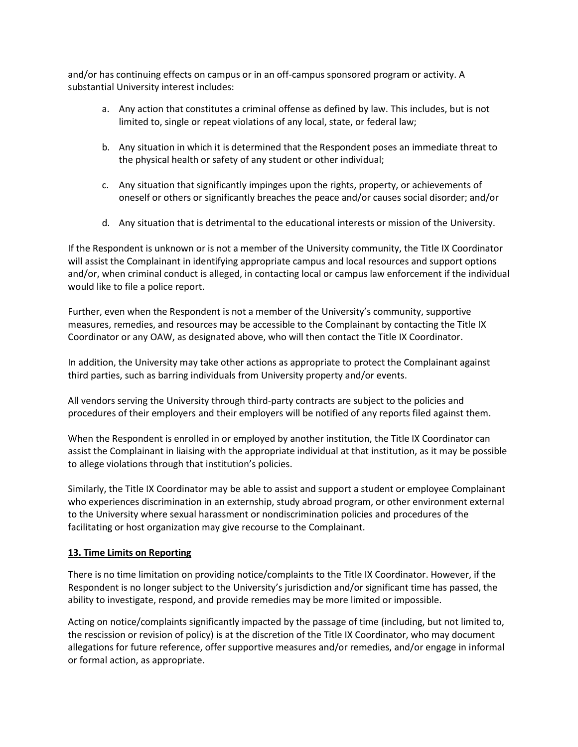and/or has continuing effects on campus or in an off-campus sponsored program or activity. A substantial University interest includes:

- a. Any action that constitutes a criminal offense as defined by law. This includes, but is not limited to, single or repeat violations of any local, state, or federal law;
- b. Any situation in which it is determined that the Respondent poses an immediate threat to the physical health or safety of any student or other individual;
- c. Any situation that significantly impinges upon the rights, property, or achievements of oneself or others or significantly breaches the peace and/or causes social disorder; and/or
- d. Any situation that is detrimental to the educational interests or mission of the University.

If the Respondent is unknown or is not a member of the University community, the Title IX Coordinator will assist the Complainant in identifying appropriate campus and local resources and support options and/or, when criminal conduct is alleged, in contacting local or campus law enforcement if the individual would like to file a police report.

Further, even when the Respondent is not a member of the University's community, supportive measures, remedies, and resources may be accessible to the Complainant by contacting the Title IX Coordinator or any OAW, as designated above, who will then contact the Title IX Coordinator.

In addition, the University may take other actions as appropriate to protect the Complainant against third parties, such as barring individuals from University property and/or events.

All vendors serving the University through third-party contracts are subject to the policies and procedures of their employers and their employers will be notified of any reports filed against them.

When the Respondent is enrolled in or employed by another institution, the Title IX Coordinator can assist the Complainant in liaising with the appropriate individual at that institution, as it may be possible to allege violations through that institution's policies.

Similarly, the Title IX Coordinator may be able to assist and support a student or employee Complainant who experiences discrimination in an externship, study abroad program, or other environment external to the University where sexual harassment or nondiscrimination policies and procedures of the facilitating or host organization may give recourse to the Complainant.

#### **13. Time Limits on Reporting**

There is no time limitation on providing notice/complaints to the Title IX Coordinator. However, if the Respondent is no longer subject to the University's jurisdiction and/or significant time has passed, the ability to investigate, respond, and provide remedies may be more limited or impossible.

Acting on notice/complaints significantly impacted by the passage of time (including, but not limited to, the rescission or revision of policy) is at the discretion of the Title IX Coordinator, who may document allegations for future reference, offer supportive measures and/or remedies, and/or engage in informal or formal action, as appropriate.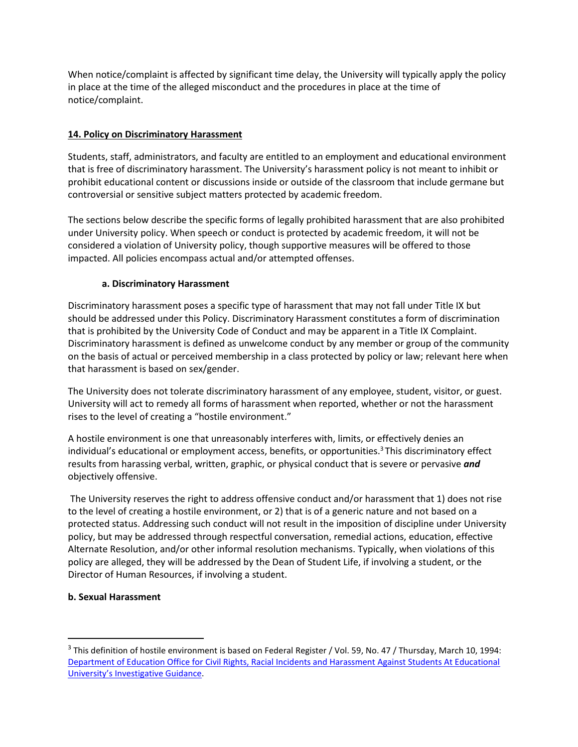When notice/complaint is affected by significant time delay, the University will typically apply the policy in place at the time of the alleged misconduct and the procedures in place at the time of notice/complaint.

# **14. Policy on Discriminatory Harassment**

Students, staff, administrators, and faculty are entitled to an employment and educational environment that is free of discriminatory harassment. The University's harassment policy is not meant to inhibit or prohibit educational content or discussions inside or outside of the classroom that include germane but controversial or sensitive subject matters protected by academic freedom.

The sections below describe the specific forms of legally prohibited harassment that are also prohibited under University policy. When speech or conduct is protected by academic freedom, it will not be considered a violation of University policy, though supportive measures will be offered to those impacted. All policies encompass actual and/or attempted offenses.

# **a. Discriminatory Harassment**

Discriminatory harassment poses a specific type of harassment that may not fall under Title IX but should be addressed under this Policy. Discriminatory Harassment constitutes a form of discrimination that is prohibited by the University Code of Conduct and may be apparent in a Title IX Complaint. Discriminatory harassment is defined as unwelcome conduct by any member or group of the community on the basis of actual or perceived membership in a class protected by policy or law; relevant here when that harassment is based on sex/gender.

The University does not tolerate discriminatory harassment of any employee, student, visitor, or guest. University will act to remedy all forms of harassment when reported, whether or not the harassment rises to the level of creating a "hostile environment."

A hostile environment is one that unreasonably interferes with, limits, or effectively denies an individual's educational or employment access, benefits, or opportunities.<sup>3</sup> This discriminatory effect results from harassing verbal, written, graphic, or physical conduct that is severe or pervasive *and* objectively offensive.

The University reserves the right to address offensive conduct and/or harassment that 1) does not rise to the level of creating a hostile environment, or 2) that is of a generic nature and not based on a protected status. Addressing such conduct will not result in the imposition of discipline under University policy, but may be addressed through respectful conversation, remedial actions, education, effective Alternate Resolution, and/or other informal resolution mechanisms. Typically, when violations of this policy are alleged, they will be addressed by the Dean of Student Life, if involving a student, or the Director of Human Resources, if involving a student.

# <span id="page-10-0"></span>**b. Sexual Harassment**

 $\overline{\phantom{a}}$ 

<sup>&</sup>lt;sup>3</sup> This definition of hostile environment is based on Federal Register / Vol. 59, No. 47 / Thursday, March 10, 1994: [Department of Education Office for Civil Rights, Racial Incidents and Harassment Against Students At Educational](http://www.ed.gov/about/offices/list/ocr/docs/race394.html.)  University's [Investigative Guidance.](http://www.ed.gov/about/offices/list/ocr/docs/race394.html.)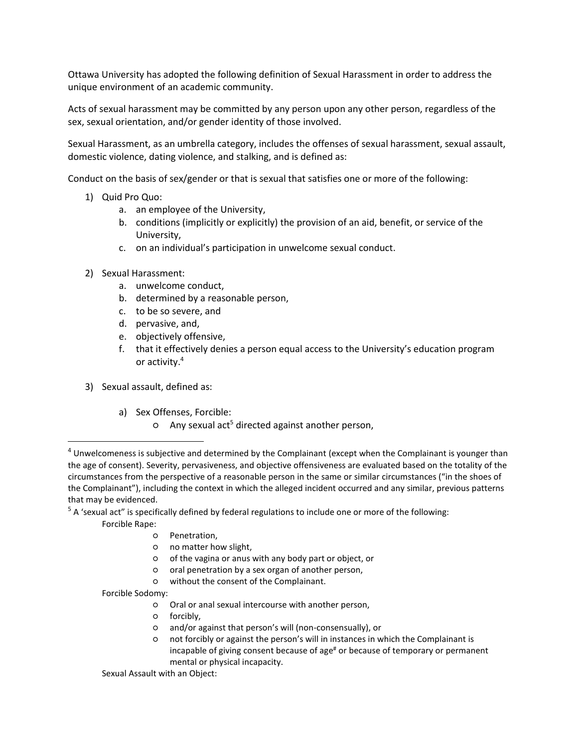Ottawa University has adopted the following definition of Sexual Harassment in order to address the unique environment of an academic community.

Acts of sexual harassment may be committed by any person upon any other person, regardless of the sex, sexual orientation, and/or gender identity of those involved.

Sexual Harassment, as an umbrella category, includes the offenses of sexual harassment, sexual assault, domestic violence, dating violence, and stalking, and is defined as:

Conduct on the basis of sex/gender or that is sexual that satisfies one or more of the following:

- 1) Quid Pro Quo:
	- a. an employee of the University,
	- b. conditions (implicitly or explicitly) the provision of an aid, benefit, or service of the University,
	- c. on an individual's participation in unwelcome sexual conduct.
- 2) Sexual Harassment:
	- a. unwelcome conduct,
	- b. determined by a reasonable person,
	- c. to be so severe, and
	- d. pervasive, and,
	- e. objectively offensive,
	- f. that it effectively denies a person equal access to the University's education program or activity.<sup>4</sup>
- 3) Sexual assault, defined as:
	- a) Sex Offenses, Forcible:
		- o Any sexual act<sup>5</sup> directed against another person,

<sup>5</sup> A 'sexual act" is specifically defined by federal regulations to include one or more of the following:

Forcible Rape:

 $\overline{\phantom{a}}$ 

- Penetration,
- no matter how slight,
- of the vagina or anus with any body part or object, or
- oral penetration by a sex organ of another person,
- without the consent of the Complainant.

Forcible Sodomy:

- Oral or anal sexual intercourse with another person,
- forcibly,
- and/or against that person's will (non-consensually), or
- not forcibly or against the person's will in instances in which the Complainant is incapable of giving consent because of age<sup>#</sup> or because of temporary or permanent mental or physical incapacity.

<sup>&</sup>lt;sup>4</sup> Unwelcomeness is subjective and determined by the Complainant (except when the Complainant is younger than the age of consent). Severity, pervasiveness, and objective offensiveness are evaluated based on the totality of the circumstances from the perspective of a reasonable person in the same or similar circumstances ("in the shoes of the Complainant"), including the context in which the alleged incident occurred and any similar, previous patterns that may be evidenced.

Sexual Assault with an Object: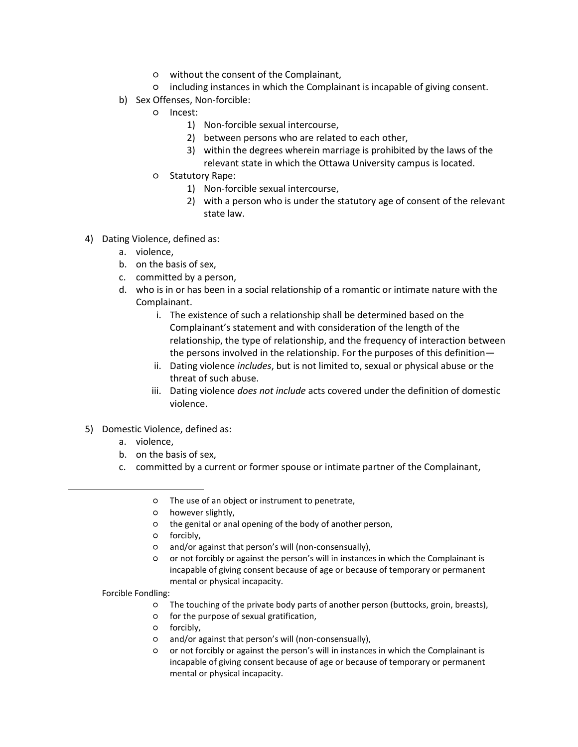- without the consent of the Complainant,
- including instances in which the Complainant is incapable of giving consent.
- b) Sex Offenses, Non-forcible:
	- Incest:
		- 1) Non-forcible sexual intercourse,
		- 2) between persons who are related to each other,
		- 3) within the degrees wherein marriage is prohibited by the laws of the relevant state in which the Ottawa University campus is located.
	- Statutory Rape:
		- 1) Non-forcible sexual intercourse,
		- 2) with a person who is under the statutory age of consent of the relevant state law.
- 4) Dating Violence, defined as:
	- a. violence,
	- b. on the basis of sex,
	- c. committed by a person,
	- d. who is in or has been in a social relationship of a romantic or intimate nature with the Complainant.
		- i. The existence of such a relationship shall be determined based on the Complainant's statement and with consideration of the length of the relationship, the type of relationship, and the frequency of interaction between the persons involved in the relationship. For the purposes of this definition—
		- ii. Dating violence *includes*, but is not limited to, sexual or physical abuse or the threat of such abuse.
		- iii. Dating violence *does not include* acts covered under the definition of domestic violence.
- 5) Domestic Violence, defined as:
	- a. violence,
	- b. on the basis of sex,
	- c. committed by a current or former spouse or intimate partner of the Complainant,
		- The use of an object or instrument to penetrate,
		- however slightly,
		- the genital or anal opening of the body of another person,
		- forcibly,
		- and/or against that person's will (non-consensually),
		- or not forcibly or against the person's will in instances in which the Complainant is incapable of giving consent because of age or because of temporary or permanent mental or physical incapacity.

Forcible Fondling:

 $\overline{\phantom{a}}$ 

- The touching of the private body parts of another person (buttocks, groin, breasts),
- for the purpose of sexual gratification,
- forcibly,
- and/or against that person's will (non-consensually),
- or not forcibly or against the person's will in instances in which the Complainant is incapable of giving consent because of age or because of temporary or permanent mental or physical incapacity.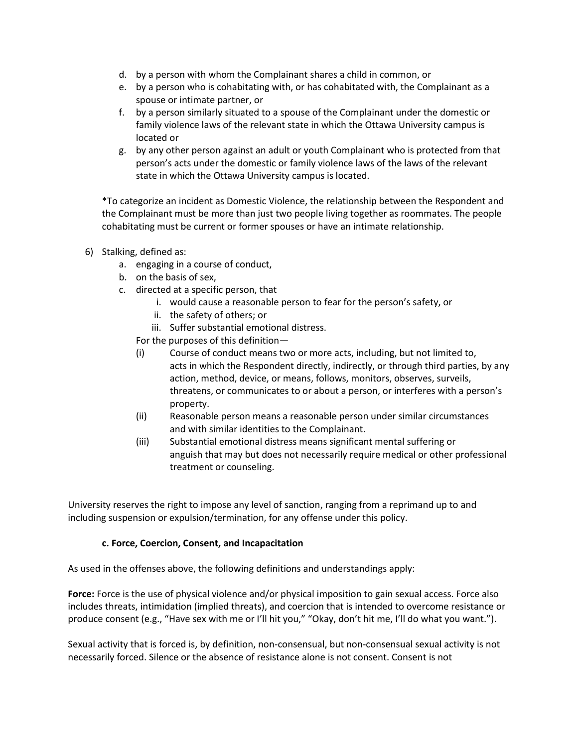- d. by a person with whom the Complainant shares a child in common, or
- e. by a person who is cohabitating with, or has cohabitated with, the Complainant as a spouse or intimate partner, or
- f. by a person similarly situated to a spouse of the Complainant under the domestic or family violence laws of the relevant state in which the Ottawa University campus is located or
- g. by any other person against an adult or youth Complainant who is protected from that person's acts under the domestic or family violence laws of the laws of the relevant state in which the Ottawa University campus is located.

\*To categorize an incident as Domestic Violence, the relationship between the Respondent and the Complainant must be more than just two people living together as roommates. The people cohabitating must be current or former spouses or have an intimate relationship.

- 6) Stalking, defined as:
	- a. engaging in a course of conduct,
	- b. on the basis of sex,
	- c. directed at a specific person, that
		- i. would cause a reasonable person to fear for the person's safety, or
		- ii. the safety of others; or
		- iii. Suffer substantial emotional distress.
		- For the purposes of this definition—
		- (i) Course of conduct means two or more acts, including, but not limited to, acts in which the Respondent directly, indirectly, or through third parties, by any action, method, device, or means, follows, monitors, observes, surveils, threatens, or communicates to or about a person, or interferes with a person's property.
		- (ii) Reasonable person means a reasonable person under similar circumstances and with similar identities to the Complainant.
		- (iii) Substantial emotional distress means significant mental suffering or anguish that may but does not necessarily require medical or other professional treatment or counseling.

University reserves the right to impose any level of sanction, ranging from a reprimand up to and including suspension or expulsion/termination, for any offense under this policy.

#### **c. Force, Coercion, Consent, and Incapacitation**

As used in the offenses above, the following definitions and understandings apply:

**Force:** Force is the use of physical violence and/or physical imposition to gain sexual access. Force also includes threats, intimidation (implied threats), and coercion that is intended to overcome resistance or produce consent (e.g., "Have sex with me or I'll hit you," "Okay, don't hit me, I'll do what you want.").

Sexual activity that is forced is, by definition, non-consensual, but non-consensual sexual activity is not necessarily forced. Silence or the absence of resistance alone is not consent. Consent is not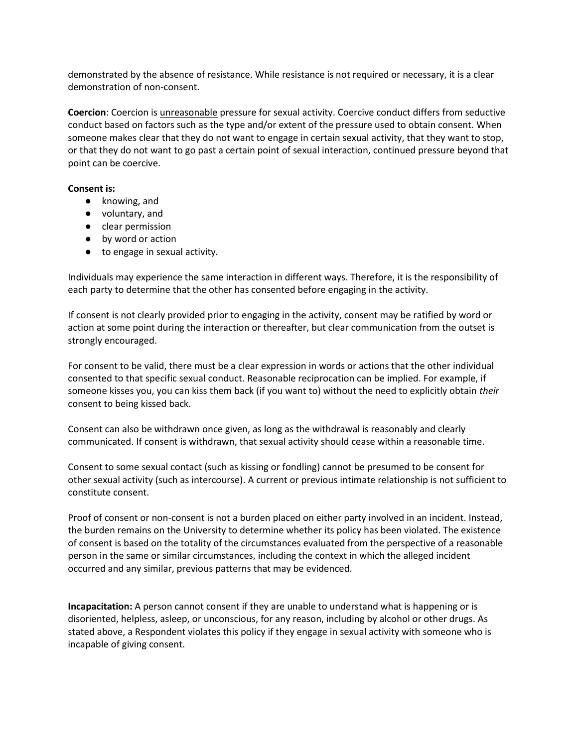demonstrated by the absence of resistance. While resistance is not required or necessary, it is a clear demonstration of non-consent.

**Coercion**: Coercion is unreasonable pressure for sexual activity. Coercive conduct differs from seductive conduct based on factors such as the type and/or extent of the pressure used to obtain consent. When someone makes clear that they do not want to engage in certain sexual activity, that they want to stop, or that they do not want to go past a certain point of sexual interaction, continued pressure beyond that point can be coercive.

#### **Consent is:**

- knowing, and
- voluntary, and
- clear permission
- by word or action
- to engage in sexual activity.

Individuals may experience the same interaction in different ways. Therefore, it is the responsibility of each party to determine that the other has consented before engaging in the activity.

If consent is not clearly provided prior to engaging in the activity, consent may be ratified by word or action at some point during the interaction or thereafter, but clear communication from the outset is strongly encouraged.

For consent to be valid, there must be a clear expression in words or actions that the other individual consented to that specific sexual conduct. Reasonable reciprocation can be implied. For example, if someone kisses you, you can kiss them back (if you want to) without the need to explicitly obtain *their* consent to being kissed back.

Consent can also be withdrawn once given, as long as the withdrawal is reasonably and clearly communicated. If consent is withdrawn, that sexual activity should cease within a reasonable time.

Consent to some sexual contact (such as kissing or fondling) cannot be presumed to be consent for other sexual activity (such as intercourse). A current or previous intimate relationship is not sufficient to constitute consent.

Proof of consent or non-consent is not a burden placed on either party involved in an incident. Instead, the burden remains on the University to determine whether its policy has been violated. The existence of consent is based on the totality of the circumstances evaluated from the perspective of a reasonable person in the same or similar circumstances, including the context in which the alleged incident occurred and any similar, previous patterns that may be evidenced.

**Incapacitation:** A person cannot consent if they are unable to understand what is happening or is disoriented, helpless, asleep, or unconscious, for any reason, including by alcohol or other drugs. As stated above, a Respondent violates this policy if they engage in sexual activity with someone who is incapable of giving consent.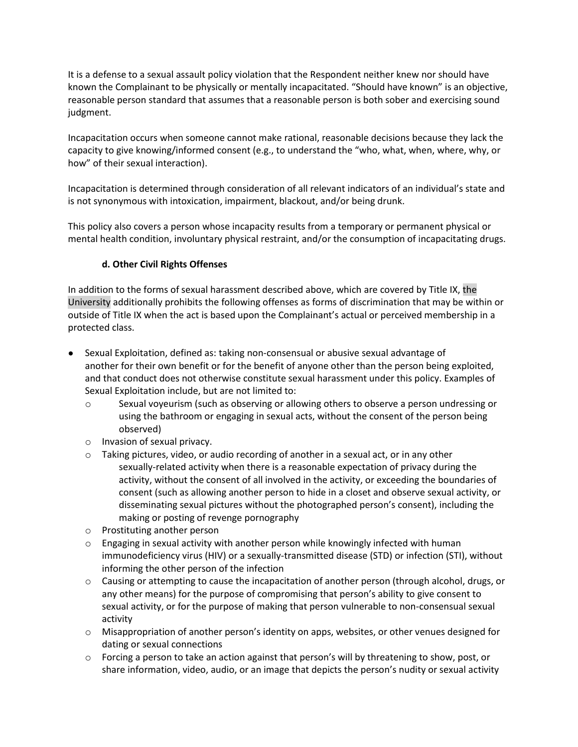It is a defense to a sexual assault policy violation that the Respondent neither knew nor should have known the Complainant to be physically or mentally incapacitated. "Should have known" is an objective, reasonable person standard that assumes that a reasonable person is both sober and exercising sound judgment.

Incapacitation occurs when someone cannot make rational, reasonable decisions because they lack the capacity to give knowing/informed consent (e.g., to understand the "who, what, when, where, why, or how" of their sexual interaction).

Incapacitation is determined through consideration of all relevant indicators of an individual's state and is not synonymous with intoxication, impairment, blackout, and/or being drunk.

This policy also covers a person whose incapacity results from a temporary or permanent physical or mental health condition, involuntary physical restraint, and/or the consumption of incapacitating drugs.

# **d. Other Civil Rights Offenses**

In addition to the forms of sexual harassment described above, which are covered by Title IX, the University additionally prohibits the following offenses as forms of discrimination that may be within or outside of Title IX when the act is based upon the Complainant's actual or perceived membership in a protected class.

- Sexual Exploitation, defined as: taking non-consensual or abusive sexual advantage of another for their own benefit or for the benefit of anyone other than the person being exploited, and that conduct does not otherwise constitute sexual harassment under this policy. Examples of Sexual Exploitation include, but are not limited to:
	- o Sexual voyeurism (such as observing or allowing others to observe a person undressing or using the bathroom or engaging in sexual acts, without the consent of the person being observed)
	- o Invasion of sexual privacy.
	- $\circ$  Taking pictures, video, or audio recording of another in a sexual act, or in any other sexually-related activity when there is a reasonable expectation of privacy during the activity, without the consent of all involved in the activity, or exceeding the boundaries of consent (such as allowing another person to hide in a closet and observe sexual activity, or disseminating sexual pictures without the photographed person's consent), including the making or posting of revenge pornography
	- o Prostituting another person
	- $\circ$  Engaging in sexual activity with another person while knowingly infected with human immunodeficiency virus (HIV) or a sexually-transmitted disease (STD) or infection (STI), without informing the other person of the infection
	- o Causing or attempting to cause the incapacitation of another person (through alcohol, drugs, or any other means) for the purpose of compromising that person's ability to give consent to sexual activity, or for the purpose of making that person vulnerable to non-consensual sexual activity
	- o Misappropriation of another person's identity on apps, websites, or other venues designed for dating or sexual connections
	- o Forcing a person to take an action against that person's will by threatening to show, post, or share information, video, audio, or an image that depicts the person's nudity or sexual activity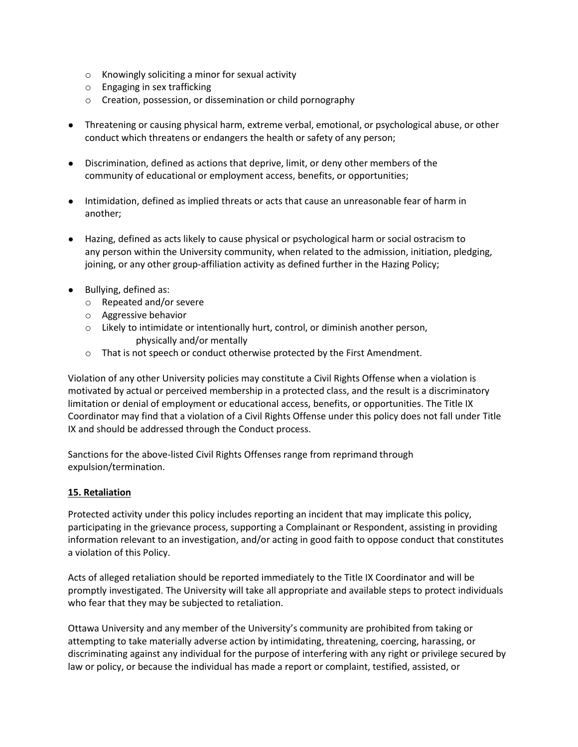- o Knowingly soliciting a minor for sexual activity
- o Engaging in sex trafficking
- o Creation, possession, or dissemination or child pornography
- Threatening or causing physical harm, extreme verbal, emotional, or psychological abuse, or other conduct which threatens or endangers the health or safety of any person;
- Discrimination, defined as actions that deprive, limit, or deny other members of the community of educational or employment access, benefits, or opportunities;
- Intimidation, defined as implied threats or acts that cause an unreasonable fear of harm in another;
- Hazing, defined as acts likely to cause physical or psychological harm or social ostracism to any person within the University community, when related to the admission, initiation, pledging, joining, or any other group-affiliation activity as defined further in the Hazing Policy;
- Bullying, defined as:
	- o Repeated and/or severe
	- o Aggressive behavior
	- $\circ$  Likely to intimidate or intentionally hurt, control, or diminish another person, physically and/or mentally
	- o That is not speech or conduct otherwise protected by the First Amendment.

Violation of any other University policies may constitute a Civil Rights Offense when a violation is motivated by actual or perceived membership in a protected class, and the result is a discriminatory limitation or denial of employment or educational access, benefits, or opportunities. The Title IX Coordinator may find that a violation of a Civil Rights Offense under this policy does not fall under Title IX and should be addressed through the Conduct process.

Sanctions for the above-listed Civil Rights Offenses range from reprimand through expulsion/termination.

# **15. Retaliation**

Protected activity under this policy includes reporting an incident that may implicate this policy, participating in the grievance process, supporting a Complainant or Respondent, assisting in providing information relevant to an investigation, and/or acting in good faith to oppose conduct that constitutes a violation of this Policy.

Acts of alleged retaliation should be reported immediately to the Title IX Coordinator and will be promptly investigated. The University will take all appropriate and available steps to protect individuals who fear that they may be subjected to retaliation.

Ottawa University and any member of the University's community are prohibited from taking or attempting to take materially adverse action by intimidating, threatening, coercing, harassing, or discriminating against any individual for the purpose of interfering with any right or privilege secured by law or policy, or because the individual has made a report or complaint, testified, assisted, or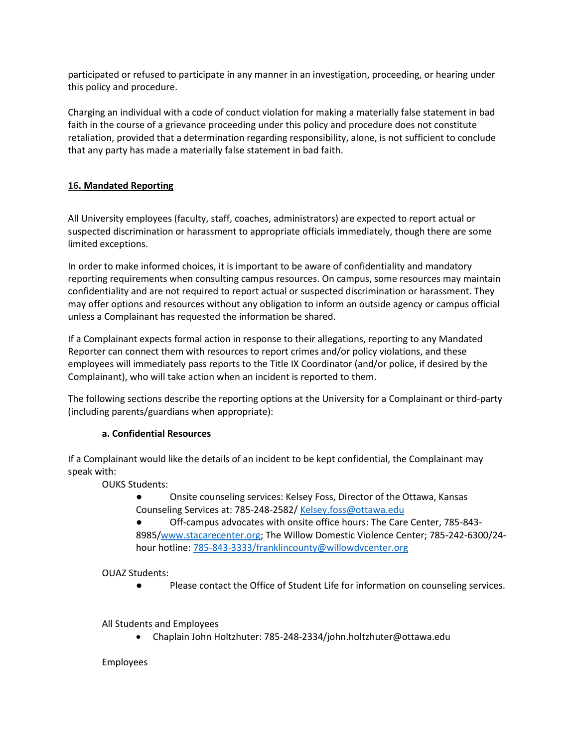participated or refused to participate in any manner in an investigation, proceeding, or hearing under this policy and procedure.

Charging an individual with a code of conduct violation for making a materially false statement in bad faith in the course of a grievance proceeding under this policy and procedure does not constitute retaliation, provided that a determination regarding responsibility, alone, is not sufficient to conclude that any party has made a materially false statement in bad faith.

# **16. Mandated Reporting**

All University employees (faculty, staff, coaches, administrators) are expected to report actual or suspected discrimination or harassment to appropriate officials immediately, though there are some limited exceptions.

In order to make informed choices, it is important to be aware of confidentiality and mandatory reporting requirements when consulting campus resources. On campus, some resources may maintain confidentiality and are not required to report actual or suspected discrimination or harassment. They may offer options and resources without any obligation to inform an outside agency or campus official unless a Complainant has requested the information be shared.

If a Complainant expects formal action in response to their allegations, reporting to any Mandated Reporter can connect them with resources to report crimes and/or policy violations, and these employees will immediately pass reports to the Title IX Coordinator (and/or police, if desired by the Complainant), who will take action when an incident is reported to them.

The following sections describe the reporting options at the University for a Complainant or third-party (including parents/guardians when appropriate):

#### **a. Confidential Resources**

If a Complainant would like the details of an incident to be kept confidential, the Complainant may speak with:

OUKS Students:

- Onsite counseling services: Kelsey Foss, Director of the Ottawa, Kansas Counseling Services at: 785-248-2582/ [Kelsey.foss@ottawa.edu](mailto:Kelsey.foss@ottawa.edu)
- Off-campus advocates with onsite office hours: The Care Center, 785-843- 8985[/www.stacarecenter.org;](http://www.stacarecenter.org/) The Willow Domestic Violence Center; 785-242-6300/24 hour hotline[: 785-843-3333/franklincounty@willowdvcenter.org](mailto:785-843-3333/franklincounty@willowdvcenter.org)

OUAZ Students:

● Please contact the Office of Student Life for information on counseling services.

All Students and Employees

• Chaplain John Holtzhuter: 785-248-2334/john.holtzhuter@ottawa.edu

#### Employees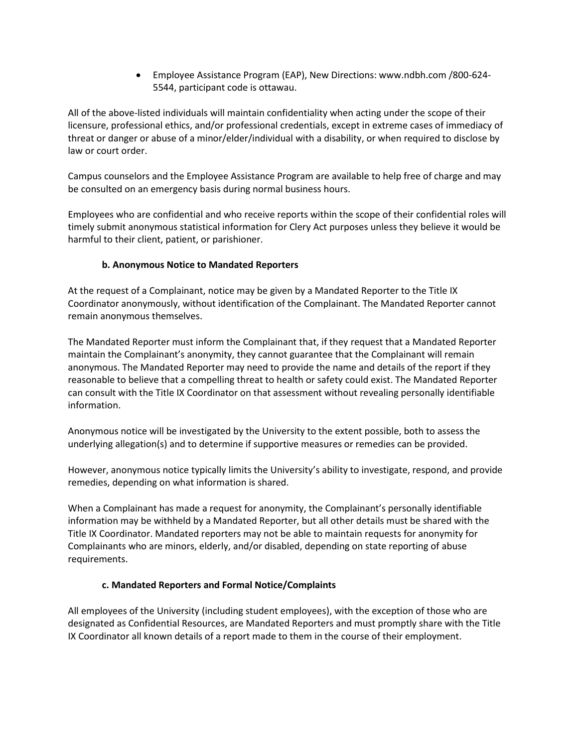• Employee Assistance Program (EAP), New Directions: www.ndbh.com /800-624- 5544, participant code is ottawau.

All of the above-listed individuals will maintain confidentiality when acting under the scope of their licensure, professional ethics, and/or professional credentials, except in extreme cases of immediacy of threat or danger or abuse of a minor/elder/individual with a disability, or when required to disclose by law or court order.

Campus counselors and the Employee Assistance Program are available to help free of charge and may be consulted on an emergency basis during normal business hours.

Employees who are confidential and who receive reports within the scope of their confidential roles will timely submit anonymous statistical information for Clery Act purposes unless they believe it would be harmful to their client, patient, or parishioner.

### **b. Anonymous Notice to Mandated Reporters**

At the request of a Complainant, notice may be given by a Mandated Reporter to the Title IX Coordinator anonymously, without identification of the Complainant. The Mandated Reporter cannot remain anonymous themselves.

The Mandated Reporter must inform the Complainant that, if they request that a Mandated Reporter maintain the Complainant's anonymity, they cannot guarantee that the Complainant will remain anonymous. The Mandated Reporter may need to provide the name and details of the report if they reasonable to believe that a compelling threat to health or safety could exist. The Mandated Reporter can consult with the Title IX Coordinator on that assessment without revealing personally identifiable information.

Anonymous notice will be investigated by the University to the extent possible, both to assess the underlying allegation(s) and to determine if supportive measures or remedies can be provided.

However, anonymous notice typically limits the University's ability to investigate, respond, and provide remedies, depending on what information is shared.

When a Complainant has made a request for anonymity, the Complainant's personally identifiable information may be withheld by a Mandated Reporter, but all other details must be shared with the Title IX Coordinator. Mandated reporters may not be able to maintain requests for anonymity for Complainants who are minors, elderly, and/or disabled, depending on state reporting of abuse requirements.

#### **c. Mandated Reporters and Formal Notice/Complaints**

All employees of the University (including student employees), with the exception of those who are designated as Confidential Resources, are Mandated Reporters and must promptly share with the Title IX Coordinator all known details of a report made to them in the course of their employment.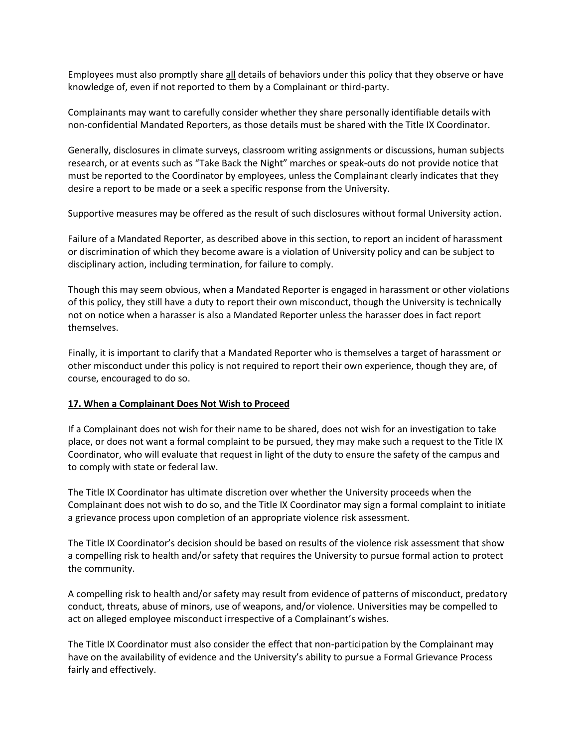Employees must also promptly share all details of behaviors under this policy that they observe or have knowledge of, even if not reported to them by a Complainant or third-party.

Complainants may want to carefully consider whether they share personally identifiable details with non-confidential Mandated Reporters, as those details must be shared with the Title IX Coordinator.

Generally, disclosures in climate surveys, classroom writing assignments or discussions, human subjects research, or at events such as "Take Back the Night" marches or speak-outs do not provide notice that must be reported to the Coordinator by employees, unless the Complainant clearly indicates that they desire a report to be made or a seek a specific response from the University.

Supportive measures may be offered as the result of such disclosures without formal University action.

Failure of a Mandated Reporter, as described above in this section, to report an incident of harassment or discrimination of which they become aware is a violation of University policy and can be subject to disciplinary action, including termination, for failure to comply.

Though this may seem obvious, when a Mandated Reporter is engaged in harassment or other violations of this policy, they still have a duty to report their own misconduct, though the University is technically not on notice when a harasser is also a Mandated Reporter unless the harasser does in fact report themselves.

Finally, it is important to clarify that a Mandated Reporter who is themselves a target of harassment or other misconduct under this policy is not required to report their own experience, though they are, of course, encouraged to do so.

#### **17. When a Complainant Does Not Wish to Proceed**

If a Complainant does not wish for their name to be shared, does not wish for an investigation to take place, or does not want a formal complaint to be pursued, they may make such a request to the Title IX Coordinator, who will evaluate that request in light of the duty to ensure the safety of the campus and to comply with state or federal law.

The Title IX Coordinator has ultimate discretion over whether the University proceeds when the Complainant does not wish to do so, and the Title IX Coordinator may sign a formal complaint to initiate a grievance process upon completion of an appropriate violence risk assessment.

The Title IX Coordinator's decision should be based on results of the violence risk assessment that show a compelling risk to health and/or safety that requires the University to pursue formal action to protect the community.

A compelling risk to health and/or safety may result from evidence of patterns of misconduct, predatory conduct, threats, abuse of minors, use of weapons, and/or violence. Universities may be compelled to act on alleged employee misconduct irrespective of a Complainant's wishes.

The Title IX Coordinator must also consider the effect that non-participation by the Complainant may have on the availability of evidence and the University's ability to pursue a Formal Grievance Process fairly and effectively.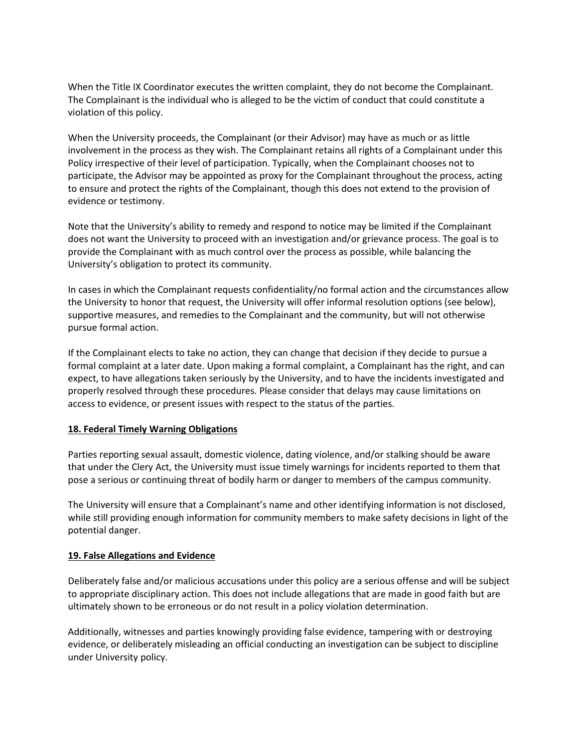When the Title IX Coordinator executes the written complaint, they do not become the Complainant. The Complainant is the individual who is alleged to be the victim of conduct that could constitute a violation of this policy.

When the University proceeds, the Complainant (or their Advisor) may have as much or as little involvement in the process as they wish. The Complainant retains all rights of a Complainant under this Policy irrespective of their level of participation. Typically, when the Complainant chooses not to participate, the Advisor may be appointed as proxy for the Complainant throughout the process, acting to ensure and protect the rights of the Complainant, though this does not extend to the provision of evidence or testimony.

Note that the University's ability to remedy and respond to notice may be limited if the Complainant does not want the University to proceed with an investigation and/or grievance process. The goal is to provide the Complainant with as much control over the process as possible, while balancing the University's obligation to protect its community.

In cases in which the Complainant requests confidentiality/no formal action and the circumstances allow the University to honor that request, the University will offer informal resolution options (see below), supportive measures, and remedies to the Complainant and the community, but will not otherwise pursue formal action.

If the Complainant elects to take no action, they can change that decision if they decide to pursue a formal complaint at a later date. Upon making a formal complaint, a Complainant has the right, and can expect, to have allegations taken seriously by the University, and to have the incidents investigated and properly resolved through these procedures. Please consider that delays may cause limitations on access to evidence, or present issues with respect to the status of the parties.

#### **18. Federal Timely Warning Obligations**

Parties reporting sexual assault, domestic violence, dating violence, and/or stalking should be aware that under the Clery Act, the University must issue timely warnings for incidents reported to them that pose a serious or continuing threat of bodily harm or danger to members of the campus community.

The University will ensure that a Complainant's name and other identifying information is not disclosed, while still providing enough information for community members to make safety decisions in light of the potential danger.

### **19. False Allegations and Evidence**

Deliberately false and/or malicious accusations under this policy are a serious offense and will be subject to appropriate disciplinary action. This does not include allegations that are made in good faith but are ultimately shown to be erroneous or do not result in a policy violation determination.

Additionally, witnesses and parties knowingly providing false evidence, tampering with or destroying evidence, or deliberately misleading an official conducting an investigation can be subject to discipline under University policy.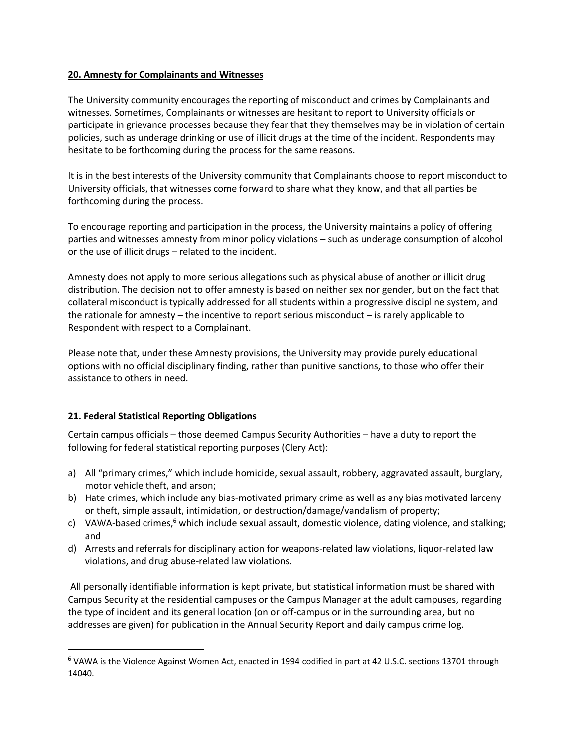#### **20. Amnesty for Complainants and Witnesses**

The University community encourages the reporting of misconduct and crimes by Complainants and witnesses. Sometimes, Complainants or witnesses are hesitant to report to University officials or participate in grievance processes because they fear that they themselves may be in violation of certain policies, such as underage drinking or use of illicit drugs at the time of the incident. Respondents may hesitate to be forthcoming during the process for the same reasons.

It is in the best interests of the University community that Complainants choose to report misconduct to University officials, that witnesses come forward to share what they know, and that all parties be forthcoming during the process.

To encourage reporting and participation in the process, the University maintains a policy of offering parties and witnesses amnesty from minor policy violations – such as underage consumption of alcohol or the use of illicit drugs – related to the incident.

Amnesty does not apply to more serious allegations such as physical abuse of another or illicit drug distribution. The decision not to offer amnesty is based on neither sex nor gender, but on the fact that collateral misconduct is typically addressed for all students within a progressive discipline system, and the rationale for amnesty – the incentive to report serious misconduct – is rarely applicable to Respondent with respect to a Complainant.

Please note that, under these Amnesty provisions, the University may provide purely educational options with no official disciplinary finding, rather than punitive sanctions, to those who offer their assistance to others in need.

#### **21. Federal Statistical Reporting Obligations**

 $\overline{a}$ 

Certain campus officials – those deemed Campus Security Authorities – have a duty to report the following for federal statistical reporting purposes (Clery Act):

- a) All "primary crimes," which include homicide, sexual assault, robbery, aggravated assault, burglary, motor vehicle theft, and arson;
- b) Hate crimes, which include any bias-motivated primary crime as well as any bias motivated larceny or theft, simple assault, intimidation, or destruction/damage/vandalism of property;
- c) VAWA-based crimes, $6$  which include sexual assault, domestic violence, dating violence, and stalking; and
- d) Arrests and referrals for disciplinary action for weapons-related law violations, liquor-related law violations, and drug abuse-related law violations.

All personally identifiable information is kept private, but statistical information must be shared with Campus Security at the residential campuses or the Campus Manager at the adult campuses, regarding the type of incident and its general location (on or off-campus or in the surrounding area, but no addresses are given) for publication in the Annual Security Report and daily campus crime log.

<sup>6</sup> VAWA is the Violence Against Women Act, enacted in 1994 codified in part at 42 U.S.C. sections 13701 through 14040.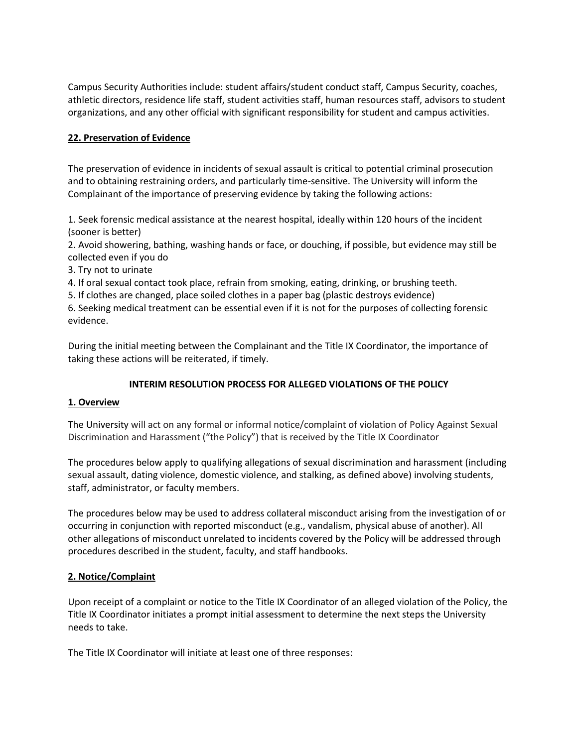Campus Security Authorities include: student affairs/student conduct staff, Campus Security, coaches, athletic directors, residence life staff, student activities staff, human resources staff, advisors to student organizations, and any other official with significant responsibility for student and campus activities.

### **22. Preservation of Evidence**

The preservation of evidence in incidents of sexual assault is critical to potential criminal prosecution and to obtaining restraining orders, and particularly time-sensitive. The University will inform the Complainant of the importance of preserving evidence by taking the following actions:

1. Seek forensic medical assistance at the nearest hospital, ideally within 120 hours of the incident (sooner is better)

2. Avoid showering, bathing, washing hands or face, or douching, if possible, but evidence may still be collected even if you do

3. Try not to urinate

4. If oral sexual contact took place, refrain from smoking, eating, drinking, or brushing teeth.

5. If clothes are changed, place soiled clothes in a paper bag (plastic destroys evidence)

6. Seeking medical treatment can be essential even if it is not for the purposes of collecting forensic evidence.

During the initial meeting between the Complainant and the Title IX Coordinator, the importance of taking these actions will be reiterated, if timely.

#### **INTERIM RESOLUTION PROCESS FOR ALLEGED VIOLATIONS OF THE POLICY**

#### **1. Overview**

The University will act on any formal or informal notice/complaint of violation of Policy Against Sexual Discrimination and Harassment ("the Policy") that is received by the Title IX Coordinator

The procedures below apply to qualifying allegations of sexual discrimination and harassment (including sexual assault, dating violence, domestic violence, and stalking, as defined above) involving students, staff, administrator, or faculty members.

The procedures below may be used to address collateral misconduct arising from the investigation of or occurring in conjunction with reported misconduct (e.g., vandalism, physical abuse of another). All other allegations of misconduct unrelated to incidents covered by the Policy will be addressed through procedures described in the student, faculty, and staff handbooks.

#### **2. Notice/Complaint**

Upon receipt of a complaint or notice to the Title IX Coordinator of an alleged violation of the Policy, the Title IX Coordinator initiates a prompt initial assessment to determine the next steps the University needs to take.

The Title IX Coordinator will initiate at least one of three responses: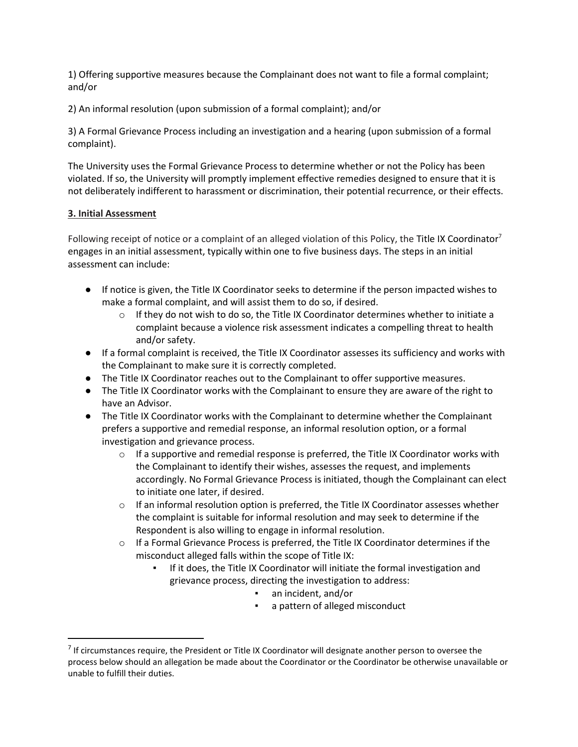1) Offering supportive measures because the Complainant does not want to file a formal complaint; and/or

2) An informal resolution (upon submission of a formal complaint); and/or

3) A Formal Grievance Process including an investigation and a hearing (upon submission of a formal complaint).

The University uses the Formal Grievance Process to determine whether or not the Policy has been violated. If so, the University will promptly implement effective remedies designed to ensure that it is not deliberately indifferent to harassment or discrimination, their potential recurrence, or their effects.

### **3. Initial Assessment**

 $\overline{\phantom{a}}$ 

Following receipt of notice or a complaint of an alleged violation of this Policy, the Title IX Coordinator<sup>7</sup> engages in an initial assessment, typically within one to five business days. The steps in an initial assessment can include:

- If notice is given, the Title IX Coordinator seeks to determine if the person impacted wishes to make a formal complaint, and will assist them to do so, if desired.
	- $\circ$  If they do not wish to do so, the Title IX Coordinator determines whether to initiate a complaint because a violence risk assessment indicates a compelling threat to health and/or safety.
- If a formal complaint is received, the Title IX Coordinator assesses its sufficiency and works with the Complainant to make sure it is correctly completed.
- The Title IX Coordinator reaches out to the Complainant to offer supportive measures.
- The Title IX Coordinator works with the Complainant to ensure they are aware of the right to have an Advisor.
- The Title IX Coordinator works with the Complainant to determine whether the Complainant prefers a supportive and remedial response, an informal resolution option, or a formal investigation and grievance process.
	- $\circ$  If a supportive and remedial response is preferred, the Title IX Coordinator works with the Complainant to identify their wishes, assesses the request, and implements accordingly. No Formal Grievance Process is initiated, though the Complainant can elect to initiate one later, if desired.
	- $\circ$  If an informal resolution option is preferred, the Title IX Coordinator assesses whether the complaint is suitable for informal resolution and may seek to determine if the Respondent is also willing to engage in informal resolution.
	- $\circ$  If a Formal Grievance Process is preferred, the Title IX Coordinator determines if the misconduct alleged falls within the scope of Title IX:
		- If it does, the Title IX Coordinator will initiate the formal investigation and grievance process, directing the investigation to address:
			- an incident, and/or
			- a pattern of alleged misconduct

 $<sup>7</sup>$  If circumstances require, the President or Title IX Coordinator will designate another person to oversee the</sup> process below should an allegation be made about the Coordinator or the Coordinator be otherwise unavailable or unable to fulfill their duties.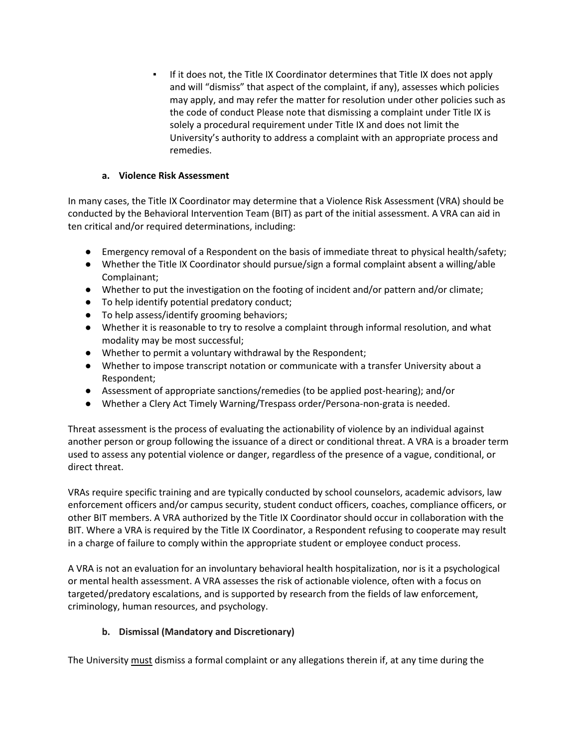If it does not, the Title IX Coordinator determines that Title IX does not apply and will "dismiss" that aspect of the complaint, if any), assesses which policies may apply, and may refer the matter for resolution under other policies such as the code of conduct Please note that dismissing a complaint under Title IX is solely a procedural requirement under Title IX and does not limit the University's authority to address a complaint with an appropriate process and remedies.

# **a. Violence Risk Assessment**

In many cases, the Title IX Coordinator may determine that a Violence Risk Assessment (VRA) should be conducted by the Behavioral Intervention Team (BIT) as part of the initial assessment. A VRA can aid in ten critical and/or required determinations, including:

- Emergency removal of a Respondent on the basis of immediate threat to physical health/safety;
- Whether the Title IX Coordinator should pursue/sign a formal complaint absent a willing/able Complainant;
- Whether to put the investigation on the footing of incident and/or pattern and/or climate;
- To help identify potential predatory conduct;
- To help assess/identify grooming behaviors;
- Whether it is reasonable to try to resolve a complaint through informal resolution, and what modality may be most successful;
- Whether to permit a voluntary withdrawal by the Respondent;
- Whether to impose transcript notation or communicate with a transfer University about a Respondent;
- Assessment of appropriate sanctions/remedies (to be applied post-hearing); and/or
- Whether a Clery Act Timely Warning/Trespass order/Persona-non-grata is needed.

Threat assessment is the process of evaluating the actionability of violence by an individual against another person or group following the issuance of a direct or conditional threat. A VRA is a broader term used to assess any potential violence or danger, regardless of the presence of a vague, conditional, or direct threat.

VRAs require specific training and are typically conducted by school counselors, academic advisors, law enforcement officers and/or campus security, student conduct officers, coaches, compliance officers, or other BIT members. A VRA authorized by the Title IX Coordinator should occur in collaboration with the BIT. Where a VRA is required by the Title IX Coordinator, a Respondent refusing to cooperate may result in a charge of failure to comply within the appropriate student or employee conduct process.

A VRA is not an evaluation for an involuntary behavioral health hospitalization, nor is it a psychological or mental health assessment. A VRA assesses the risk of actionable violence, often with a focus on targeted/predatory escalations, and is supported by research from the fields of law enforcement, criminology, human resources, and psychology.

# **b. Dismissal (Mandatory and Discretionary)**

The University must dismiss a formal complaint or any allegations therein if, at any time during the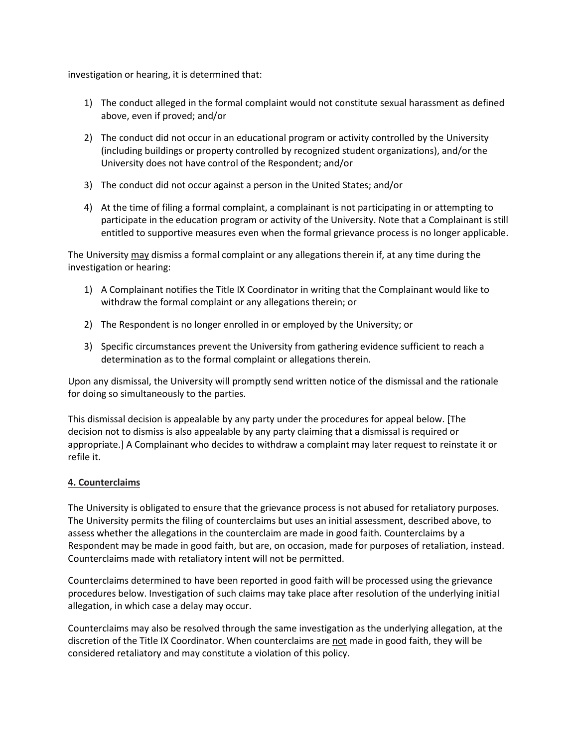investigation or hearing, it is determined that:

- 1) The conduct alleged in the formal complaint would not constitute sexual harassment as defined above, even if proved; and/or
- 2) The conduct did not occur in an educational program or activity controlled by the University (including buildings or property controlled by recognized student organizations), and/or the University does not have control of the Respondent; and/or
- 3) The conduct did not occur against a person in the United States; and/or
- 4) At the time of filing a formal complaint, a complainant is not participating in or attempting to participate in the education program or activity of the University. Note that a Complainant is still entitled to supportive measures even when the formal grievance process is no longer applicable.

The University may dismiss a formal complaint or any allegations therein if, at any time during the investigation or hearing:

- 1) A Complainant notifies the Title IX Coordinator in writing that the Complainant would like to withdraw the formal complaint or any allegations therein; or
- 2) The Respondent is no longer enrolled in or employed by the University; or
- 3) Specific circumstances prevent the University from gathering evidence sufficient to reach a determination as to the formal complaint or allegations therein.

Upon any dismissal, the University will promptly send written notice of the dismissal and the rationale for doing so simultaneously to the parties.

This dismissal decision is appealable by any party under the procedures for appeal below. [The decision not to dismiss is also appealable by any party claiming that a dismissal is required or appropriate.] A Complainant who decides to withdraw a complaint may later request to reinstate it or refile it.

#### **4. Counterclaims**

The University is obligated to ensure that the grievance process is not abused for retaliatory purposes. The University permits the filing of counterclaims but uses an initial assessment, described above, to assess whether the allegations in the counterclaim are made in good faith. Counterclaims by a Respondent may be made in good faith, but are, on occasion, made for purposes of retaliation, instead. Counterclaims made with retaliatory intent will not be permitted.

Counterclaims determined to have been reported in good faith will be processed using the grievance procedures below. Investigation of such claims may take place after resolution of the underlying initial allegation, in which case a delay may occur.

Counterclaims may also be resolved through the same investigation as the underlying allegation, at the discretion of the Title IX Coordinator. When counterclaims are not made in good faith, they will be considered retaliatory and may constitute a violation of this policy.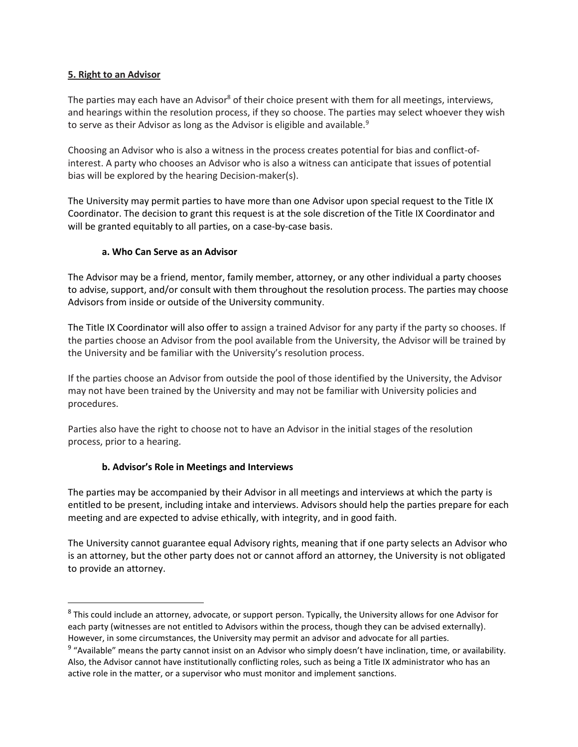### **5. Right to an Advisor**

 $\overline{\phantom{a}}$ 

The parties may each have an Advisor<sup>8</sup> of their choice present with them for all meetings, interviews, and hearings within the resolution process, if they so choose. The parties may select whoever they wish to serve as their Advisor as long as the Advisor is eligible and available.<sup>9</sup>

Choosing an Advisor who is also a witness in the process creates potential for bias and conflict-ofinterest. A party who chooses an Advisor who is also a witness can anticipate that issues of potential bias will be explored by the hearing Decision-maker(s).

The University may permit parties to have more than one Advisor upon special request to the Title IX Coordinator. The decision to grant this request is at the sole discretion of the Title IX Coordinator and will be granted equitably to all parties, on a case-by-case basis.

### **a. Who Can Serve as an Advisor**

The Advisor may be a friend, mentor, family member, attorney, or any other individual a party chooses to advise, support, and/or consult with them throughout the resolution process. The parties may choose Advisors from inside or outside of the University community.

The Title IX Coordinator will also offer to assign a trained Advisor for any party if the party so chooses. If the parties choose an Advisor from the pool available from the University, the Advisor will be trained by the University and be familiar with the University's resolution process.

If the parties choose an Advisor from outside the pool of those identified by the University, the Advisor may not have been trained by the University and may not be familiar with University policies and procedures.

Parties also have the right to choose not to have an Advisor in the initial stages of the resolution process, prior to a hearing.

#### **b. Advisor's Role in Meetings and Interviews**

The parties may be accompanied by their Advisor in all meetings and interviews at which the party is entitled to be present, including intake and interviews. Advisors should help the parties prepare for each meeting and are expected to advise ethically, with integrity, and in good faith.

The University cannot guarantee equal Advisory rights, meaning that if one party selects an Advisor who is an attorney, but the other party does not or cannot afford an attorney, the University is not obligated to provide an attorney.

<sup>&</sup>lt;sup>8</sup> This could include an attorney, advocate, or support person. Typically, the University allows for one Advisor for each party (witnesses are not entitled to Advisors within the process, though they can be advised externally). However, in some circumstances, the University may permit an advisor and advocate for all parties.

<sup>&</sup>lt;sup>9</sup> "Available" means the party cannot insist on an Advisor who simply doesn't have inclination, time, or availability. Also, the Advisor cannot have institutionally conflicting roles, such as being a Title IX administrator who has an active role in the matter, or a supervisor who must monitor and implement sanctions.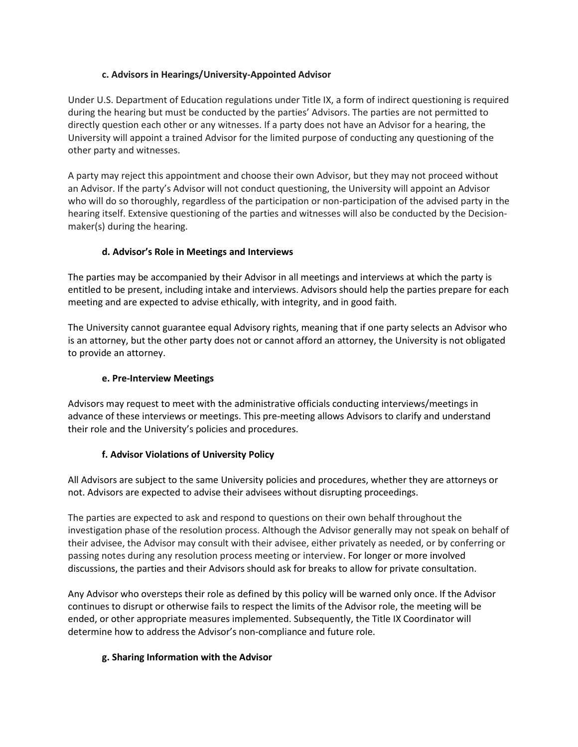# **c. Advisors in Hearings/University-Appointed Advisor**

Under U.S. Department of Education regulations under Title IX, a form of indirect questioning is required during the hearing but must be conducted by the parties' Advisors. The parties are not permitted to directly question each other or any witnesses. If a party does not have an Advisor for a hearing, the University will appoint a trained Advisor for the limited purpose of conducting any questioning of the other party and witnesses.

A party may reject this appointment and choose their own Advisor, but they may not proceed without an Advisor. If the party's Advisor will not conduct questioning, the University will appoint an Advisor who will do so thoroughly, regardless of the participation or non-participation of the advised party in the hearing itself. Extensive questioning of the parties and witnesses will also be conducted by the Decisionmaker(s) during the hearing.

# **d. Advisor's Role in Meetings and Interviews**

The parties may be accompanied by their Advisor in all meetings and interviews at which the party is entitled to be present, including intake and interviews. Advisors should help the parties prepare for each meeting and are expected to advise ethically, with integrity, and in good faith.

The University cannot guarantee equal Advisory rights, meaning that if one party selects an Advisor who is an attorney, but the other party does not or cannot afford an attorney, the University is not obligated to provide an attorney.

# **e. Pre-Interview Meetings**

Advisors may request to meet with the administrative officials conducting interviews/meetings in advance of these interviews or meetings. This pre-meeting allows Advisors to clarify and understand their role and the University's policies and procedures.

# **f. Advisor Violations of University Policy**

All Advisors are subject to the same University policies and procedures, whether they are attorneys or not. Advisors are expected to advise their advisees without disrupting proceedings.

The parties are expected to ask and respond to questions on their own behalf throughout the investigation phase of the resolution process. Although the Advisor generally may not speak on behalf of their advisee, the Advisor may consult with their advisee, either privately as needed, or by conferring or passing notes during any resolution process meeting or interview. For longer or more involved discussions, the parties and their Advisors should ask for breaks to allow for private consultation.

Any Advisor who oversteps their role as defined by this policy will be warned only once. If the Advisor continues to disrupt or otherwise fails to respect the limits of the Advisor role, the meeting will be ended, or other appropriate measures implemented. Subsequently, the Title IX Coordinator will determine how to address the Advisor's non-compliance and future role.

#### **g. Sharing Information with the Advisor**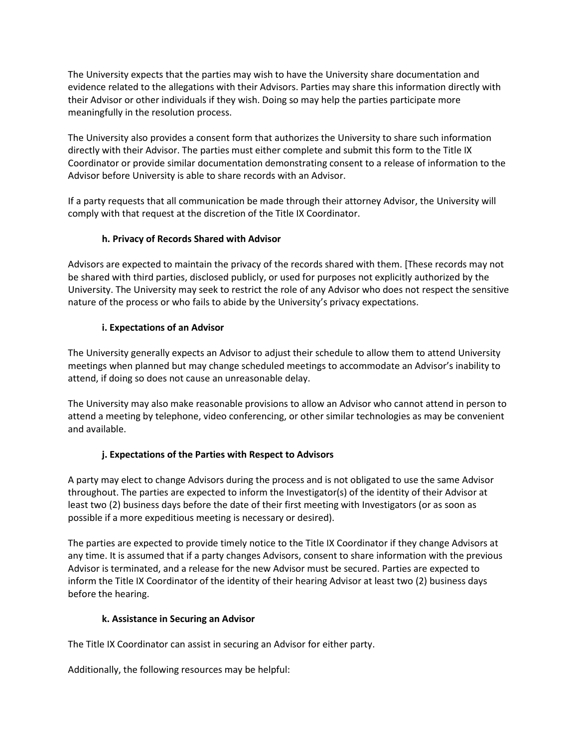The University expects that the parties may wish to have the University share documentation and evidence related to the allegations with their Advisors. Parties may share this information directly with their Advisor or other individuals if they wish. Doing so may help the parties participate more meaningfully in the resolution process.

The University also provides a consent form that authorizes the University to share such information directly with their Advisor. The parties must either complete and submit this form to the Title IX Coordinator or provide similar documentation demonstrating consent to a release of information to the Advisor before University is able to share records with an Advisor.

If a party requests that all communication be made through their attorney Advisor, the University will comply with that request at the discretion of the Title IX Coordinator.

# **h. Privacy of Records Shared with Advisor**

Advisors are expected to maintain the privacy of the records shared with them. [These records may not be shared with third parties, disclosed publicly, or used for purposes not explicitly authorized by the University. The University may seek to restrict the role of any Advisor who does not respect the sensitive nature of the process or who fails to abide by the University's privacy expectations.

# **i. Expectations of an Advisor**

The University generally expects an Advisor to adjust their schedule to allow them to attend University meetings when planned but may change scheduled meetings to accommodate an Advisor's inability to attend, if doing so does not cause an unreasonable delay.

The University may also make reasonable provisions to allow an Advisor who cannot attend in person to attend a meeting by telephone, video conferencing, or other similar technologies as may be convenient and available.

# **j. Expectations of the Parties with Respect to Advisors**

A party may elect to change Advisors during the process and is not obligated to use the same Advisor throughout. The parties are expected to inform the Investigator(s) of the identity of their Advisor at least two (2) business days before the date of their first meeting with Investigators (or as soon as possible if a more expeditious meeting is necessary or desired).

The parties are expected to provide timely notice to the Title IX Coordinator if they change Advisors at any time. It is assumed that if a party changes Advisors, consent to share information with the previous Advisor is terminated, and a release for the new Advisor must be secured. Parties are expected to inform the Title IX Coordinator of the identity of their hearing Advisor at least two (2) business days before the hearing.

# **k. Assistance in Securing an Advisor**

The Title IX Coordinator can assist in securing an Advisor for either party.

Additionally, the following resources may be helpful: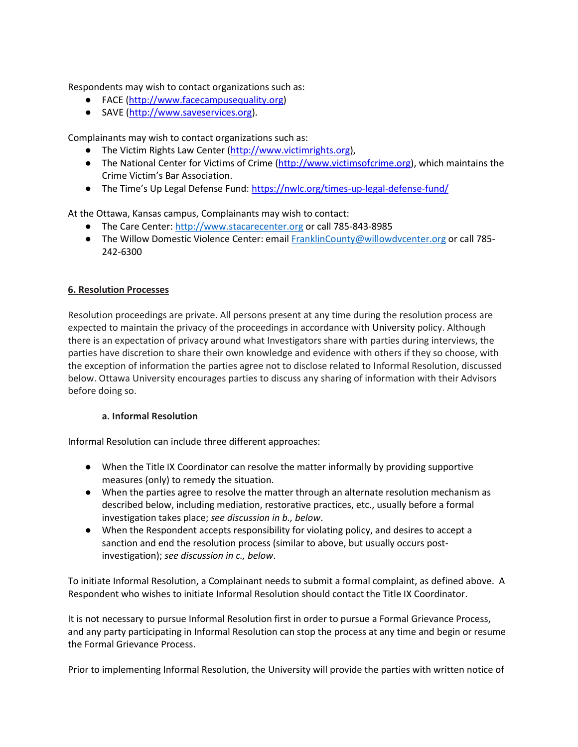Respondents may wish to contact organizations such as:

- FACE [\(http://www.facecampusequality.org\)](http://www.facecampusequality.org/)
- SAVE [\(http://www.saveservices.org\)](http://www.saveservices.org/).

Complainants may wish to contact organizations such as:

- The Victim Rights Law Center [\(http://www.victimrights.org\)](http://www.victimrights.org/),
- The National Center for Victims of Crime [\(http://www.victimsofcrime.org\)](http://www.victimsofcrime.org/), which maintains the Crime Victim's Bar Association.
- The Time's Up Legal Defense Fund: <https://nwlc.org/times-up-legal-defense-fund/>

At the Ottawa, Kansas campus, Complainants may wish to contact:

- The Care Center[: http://www.stacarecenter.org](http://www.stacarecenter.org/) or call 785-843-8985
- The Willow Domestic Violence Center: emai[l FranklinCounty@willowdvcenter.org](mailto:FranklinCounty@willowdvcenter.org) or call 785-242-6300

### **6. Resolution Processes**

Resolution proceedings are private. All persons present at any time during the resolution process are expected to maintain the privacy of the proceedings in accordance with University policy. Although there is an expectation of privacy around what Investigators share with parties during interviews, the parties have discretion to share their own knowledge and evidence with others if they so choose, with the exception of information the parties agree not to disclose related to Informal Resolution, discussed below. Ottawa University encourages parties to discuss any sharing of information with their Advisors before doing so.

#### **a. Informal Resolution**

Informal Resolution can include three different approaches:

- When the Title IX Coordinator can resolve the matter informally by providing supportive measures (only) to remedy the situation.
- When the parties agree to resolve the matter through an alternate resolution mechanism as described below, including mediation, restorative practices, etc., usually before a formal investigation takes place; *see discussion in b., below*.
- When the Respondent accepts responsibility for violating policy, and desires to accept a sanction and end the resolution process (similar to above, but usually occurs postinvestigation); *see discussion in c., below*.

To initiate Informal Resolution, a Complainant needs to submit a formal complaint, as defined above. A Respondent who wishes to initiate Informal Resolution should contact the Title IX Coordinator.

It is not necessary to pursue Informal Resolution first in order to pursue a Formal Grievance Process, and any party participating in Informal Resolution can stop the process at any time and begin or resume the Formal Grievance Process.

Prior to implementing Informal Resolution, the University will provide the parties with written notice of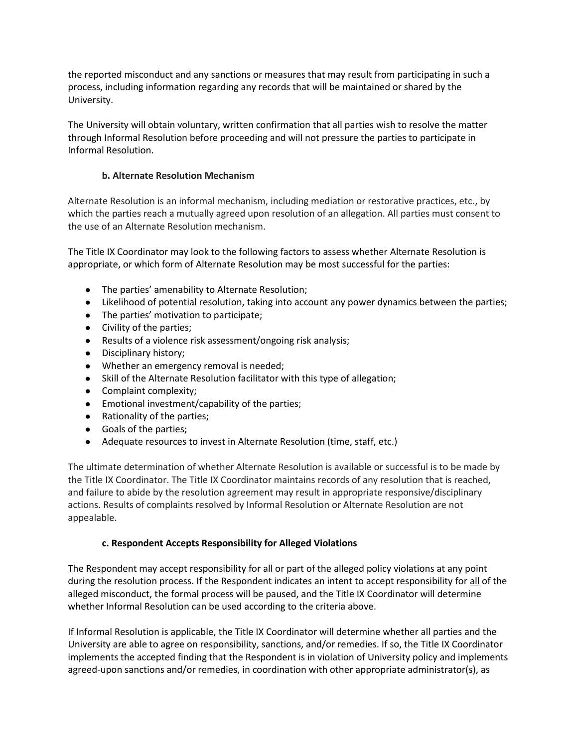the reported misconduct and any sanctions or measures that may result from participating in such a process, including information regarding any records that will be maintained or shared by the University.

The University will obtain voluntary, written confirmation that all parties wish to resolve the matter through Informal Resolution before proceeding and will not pressure the parties to participate in Informal Resolution.

# **b. Alternate Resolution Mechanism**

Alternate Resolution is an informal mechanism, including mediation or restorative practices, etc., by which the parties reach a mutually agreed upon resolution of an allegation. All parties must consent to the use of an Alternate Resolution mechanism.

The Title IX Coordinator may look to the following factors to assess whether Alternate Resolution is appropriate, or which form of Alternate Resolution may be most successful for the parties:

- The parties' amenability to Alternate Resolution;
- Likelihood of potential resolution, taking into account any power dynamics between the parties;
- The parties' motivation to participate;
- Civility of the parties;
- Results of a violence risk assessment/ongoing risk analysis;
- Disciplinary history;
- Whether an emergency removal is needed;
- Skill of the Alternate Resolution facilitator with this type of allegation;
- Complaint complexity;
- Emotional investment/capability of the parties;
- Rationality of the parties;
- Goals of the parties;
- Adequate resources to invest in Alternate Resolution (time, staff, etc.)

The ultimate determination of whether Alternate Resolution is available or successful is to be made by the Title IX Coordinator. The Title IX Coordinator maintains records of any resolution that is reached, and failure to abide by the resolution agreement may result in appropriate responsive/disciplinary actions. Results of complaints resolved by Informal Resolution or Alternate Resolution are not appealable.

# **c. Respondent Accepts Responsibility for Alleged Violations**

The Respondent may accept responsibility for all or part of the alleged policy violations at any point during the resolution process. If the Respondent indicates an intent to accept responsibility for all of the alleged misconduct, the formal process will be paused, and the Title IX Coordinator will determine whether Informal Resolution can be used according to the criteria above.

If Informal Resolution is applicable, the Title IX Coordinator will determine whether all parties and the University are able to agree on responsibility, sanctions, and/or remedies. If so, the Title IX Coordinator implements the accepted finding that the Respondent is in violation of University policy and implements agreed-upon sanctions and/or remedies, in coordination with other appropriate administrator(s), as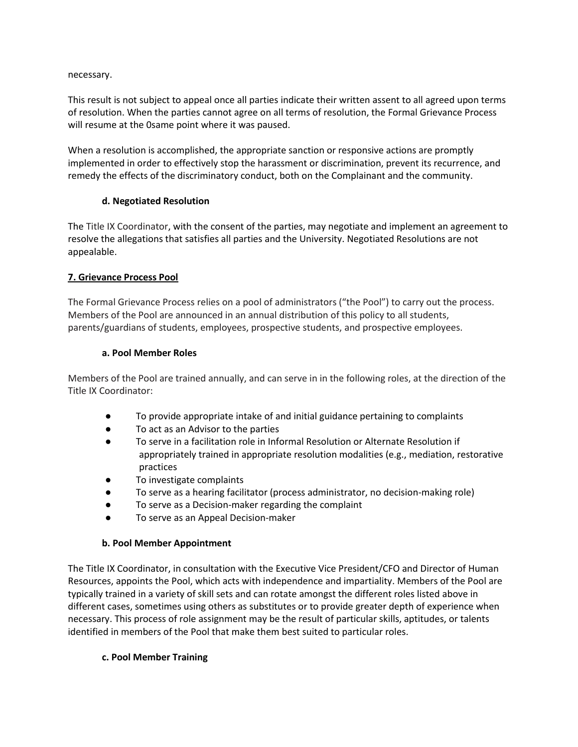necessary.

This result is not subject to appeal once all parties indicate their written assent to all agreed upon terms of resolution. When the parties cannot agree on all terms of resolution, the Formal Grievance Process will resume at the 0same point where it was paused.

When a resolution is accomplished, the appropriate sanction or responsive actions are promptly implemented in order to effectively stop the harassment or discrimination, prevent its recurrence, and remedy the effects of the discriminatory conduct, both on the Complainant and the community.

#### **d. Negotiated Resolution**

The Title IX Coordinator, with the consent of the parties, may negotiate and implement an agreement to resolve the allegations that satisfies all parties and the University. Negotiated Resolutions are not appealable.

### **7. Grievance Process Pool**

The Formal Grievance Process relies on a pool of administrators ("the Pool") to carry out the process. Members of the Pool are announced in an annual distribution of this policy to all students, parents/guardians of students, employees, prospective students, and prospective employees.

#### **a. Pool Member Roles**

Members of the Pool are trained annually, and can serve in in the following roles, at the direction of the Title IX Coordinator:

- To provide appropriate intake of and initial guidance pertaining to complaints
- To act as an Advisor to the parties
- To serve in a facilitation role in Informal Resolution or Alternate Resolution if appropriately trained in appropriate resolution modalities (e.g., mediation, restorative practices
- To investigate complaints
- To serve as a hearing facilitator (process administrator, no decision-making role)
- To serve as a Decision-maker regarding the complaint
- To serve as an Appeal Decision-maker

#### **b. Pool Member Appointment**

The Title IX Coordinator, in consultation with the Executive Vice President/CFO and Director of Human Resources, appoints the Pool, which acts with independence and impartiality. Members of the Pool are typically trained in a variety of skill sets and can rotate amongst the different roles listed above in different cases, sometimes using others as substitutes or to provide greater depth of experience when necessary. This process of role assignment may be the result of particular skills, aptitudes, or talents identified in members of the Pool that make them best suited to particular roles.

#### **c. Pool Member Training**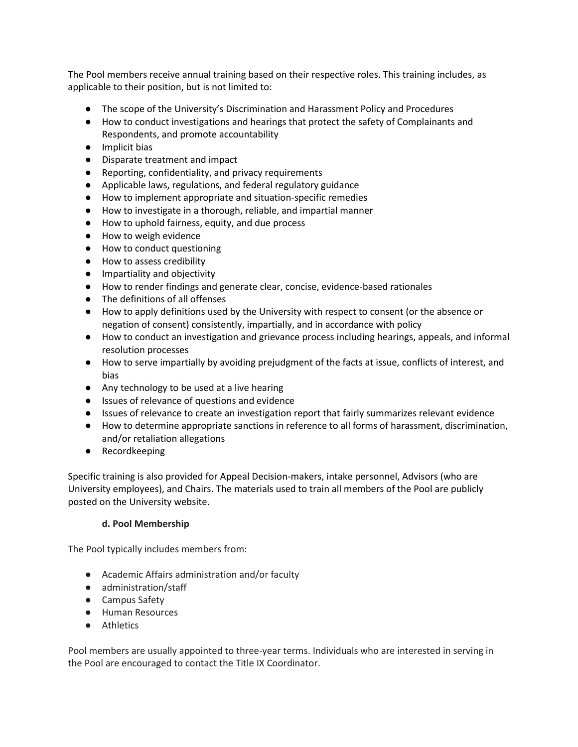The Pool members receive annual training based on their respective roles. This training includes, as applicable to their position, but is not limited to:

- The scope of the University's Discrimination and Harassment Policy and Procedures
- How to conduct investigations and hearings that protect the safety of Complainants and Respondents, and promote accountability
- Implicit bias
- Disparate treatment and impact
- Reporting, confidentiality, and privacy requirements
- Applicable laws, regulations, and federal regulatory guidance
- How to implement appropriate and situation-specific remedies
- How to investigate in a thorough, reliable, and impartial manner
- How to uphold fairness, equity, and due process
- How to weigh evidence
- How to conduct questioning
- How to assess credibility
- Impartiality and objectivity
- How to render findings and generate clear, concise, evidence-based rationales
- The definitions of all offenses
- How to apply definitions used by the University with respect to consent (or the absence or negation of consent) consistently, impartially, and in accordance with policy
- How to conduct an investigation and grievance process including hearings, appeals, and informal resolution processes
- How to serve impartially by avoiding prejudgment of the facts at issue, conflicts of interest, and bias
- Any technology to be used at a live hearing
- Issues of relevance of questions and evidence
- Issues of relevance to create an investigation report that fairly summarizes relevant evidence
- How to determine appropriate sanctions in reference to all forms of harassment, discrimination, and/or retaliation allegations
- Recordkeeping

Specific training is also provided for Appeal Decision-makers, intake personnel, Advisors (who are University employees), and Chairs. The materials used to train all members of the Pool are publicly posted on the University website.

#### **d. Pool Membership**

The Pool typically includes members from:

- Academic Affairs administration and/or faculty
- administration/staff
- Campus Safety
- Human Resources
- Athletics

Pool members are usually appointed to three-year terms. Individuals who are interested in serving in the Pool are encouraged to contact the Title IX Coordinator.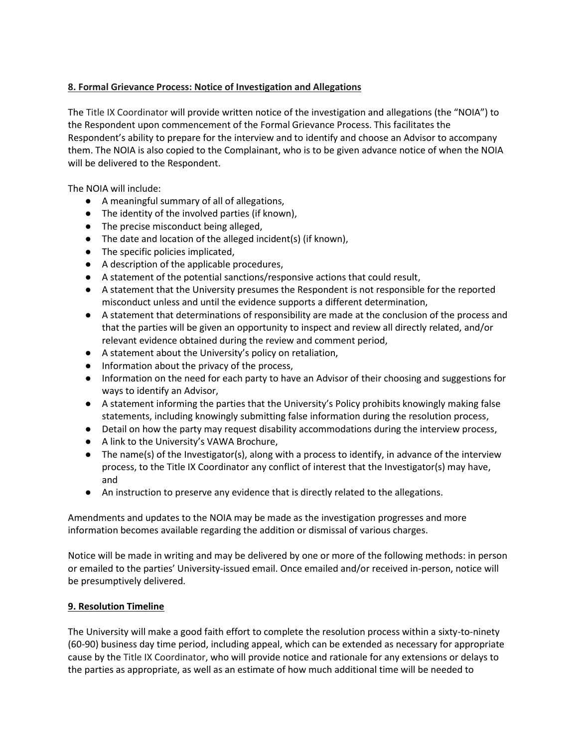# **8. Formal Grievance Process: Notice of Investigation and Allegations**

The Title IX Coordinator will provide written notice of the investigation and allegations (the "NOIA") to the Respondent upon commencement of the Formal Grievance Process. This facilitates the Respondent's ability to prepare for the interview and to identify and choose an Advisor to accompany them. The NOIA is also copied to the Complainant, who is to be given advance notice of when the NOIA will be delivered to the Respondent.

The NOIA will include:

- A meaningful summary of all of allegations,
- The identity of the involved parties (if known),
- The precise misconduct being alleged,
- The date and location of the alleged incident(s) (if known),
- The specific policies implicated,
- A description of the applicable procedures,
- A statement of the potential sanctions/responsive actions that could result,
- A statement that the University presumes the Respondent is not responsible for the reported misconduct unless and until the evidence supports a different determination,
- A statement that determinations of responsibility are made at the conclusion of the process and that the parties will be given an opportunity to inspect and review all directly related, and/or relevant evidence obtained during the review and comment period,
- A statement about the University's policy on retaliation,
- Information about the privacy of the process,
- Information on the need for each party to have an Advisor of their choosing and suggestions for ways to identify an Advisor,
- A statement informing the parties that the University's Policy prohibits knowingly making false statements, including knowingly submitting false information during the resolution process,
- Detail on how the party may request disability accommodations during the interview process,
- A link to the University's VAWA Brochure,
- The name(s) of the Investigator(s), along with a process to identify, in advance of the interview process, to the Title IX Coordinator any conflict of interest that the Investigator(s) may have, and
- An instruction to preserve any evidence that is directly related to the allegations.

Amendments and updates to the NOIA may be made as the investigation progresses and more information becomes available regarding the addition or dismissal of various charges.

Notice will be made in writing and may be delivered by one or more of the following methods: in person or emailed to the parties' University-issued email. Once emailed and/or received in-person, notice will be presumptively delivered.

# **9. Resolution Timeline**

The University will make a good faith effort to complete the resolution process within a sixty-to-ninety (60-90) business day time period, including appeal, which can be extended as necessary for appropriate cause by the Title IX Coordinator, who will provide notice and rationale for any extensions or delays to the parties as appropriate, as well as an estimate of how much additional time will be needed to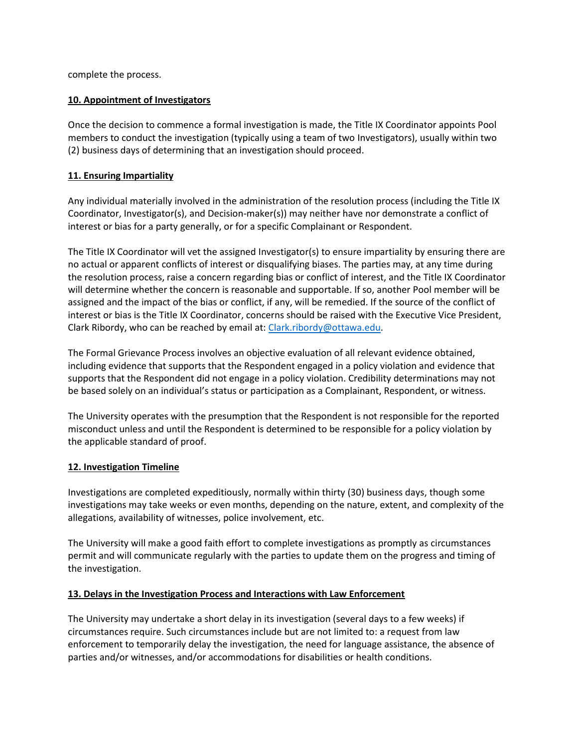complete the process.

# **10. Appointment of Investigators**

Once the decision to commence a formal investigation is made, the Title IX Coordinator appoints Pool members to conduct the investigation (typically using a team of two Investigators), usually within two (2) business days of determining that an investigation should proceed.

### **11. Ensuring Impartiality**

Any individual materially involved in the administration of the resolution process (including the Title IX Coordinator, Investigator(s), and Decision-maker(s)) may neither have nor demonstrate a conflict of interest or bias for a party generally, or for a specific Complainant or Respondent.

The Title IX Coordinator will vet the assigned Investigator(s) to ensure impartiality by ensuring there are no actual or apparent conflicts of interest or disqualifying biases. The parties may, at any time during the resolution process, raise a concern regarding bias or conflict of interest, and the Title IX Coordinator will determine whether the concern is reasonable and supportable. If so, another Pool member will be assigned and the impact of the bias or conflict, if any, will be remedied. If the source of the conflict of interest or bias is the Title IX Coordinator, concerns should be raised with the Executive Vice President, Clark Ribordy, who can be reached by email at: [Clark.ribordy@ottawa.edu.](mailto:Clark.ribordy@ottawa.edu)

The Formal Grievance Process involves an objective evaluation of all relevant evidence obtained, including evidence that supports that the Respondent engaged in a policy violation and evidence that supports that the Respondent did not engage in a policy violation. Credibility determinations may not be based solely on an individual's status or participation as a Complainant, Respondent, or witness.

The University operates with the presumption that the Respondent is not responsible for the reported misconduct unless and until the Respondent is determined to be responsible for a policy violation by the applicable standard of proof.

#### **12. Investigation Timeline**

Investigations are completed expeditiously, normally within thirty (30) business days, though some investigations may take weeks or even months, depending on the nature, extent, and complexity of the allegations, availability of witnesses, police involvement, etc.

The University will make a good faith effort to complete investigations as promptly as circumstances permit and will communicate regularly with the parties to update them on the progress and timing of the investigation.

#### **13. Delays in the Investigation Process and Interactions with Law Enforcement**

The University may undertake a short delay in its investigation (several days to a few weeks) if circumstances require. Such circumstances include but are not limited to: a request from law enforcement to temporarily delay the investigation, the need for language assistance, the absence of parties and/or witnesses, and/or accommodations for disabilities or health conditions.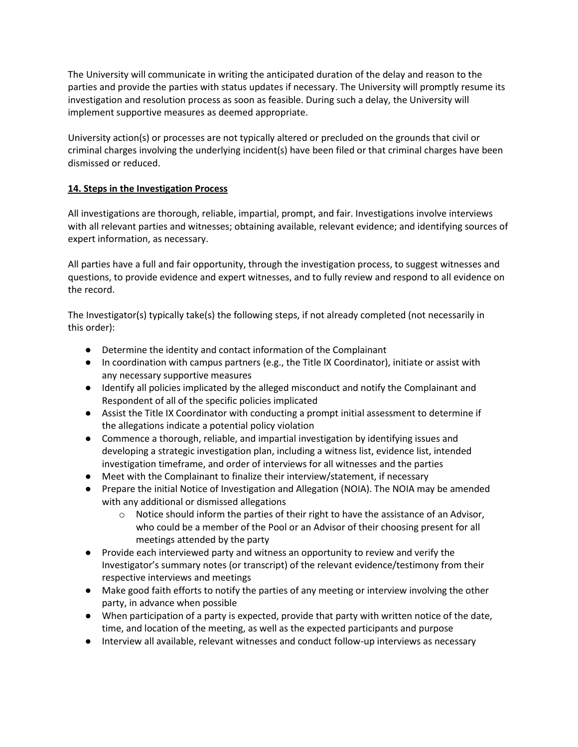The University will communicate in writing the anticipated duration of the delay and reason to the parties and provide the parties with status updates if necessary. The University will promptly resume its investigation and resolution process as soon as feasible. During such a delay, the University will implement supportive measures as deemed appropriate.

University action(s) or processes are not typically altered or precluded on the grounds that civil or criminal charges involving the underlying incident(s) have been filed or that criminal charges have been dismissed or reduced.

### **14. Steps in the Investigation Process**

All investigations are thorough, reliable, impartial, prompt, and fair. Investigations involve interviews with all relevant parties and witnesses; obtaining available, relevant evidence; and identifying sources of expert information, as necessary.

All parties have a full and fair opportunity, through the investigation process, to suggest witnesses and questions, to provide evidence and expert witnesses, and to fully review and respond to all evidence on the record.

The Investigator(s) typically take(s) the following steps, if not already completed (not necessarily in this order):

- Determine the identity and contact information of the Complainant
- In coordination with campus partners (e.g., the Title IX Coordinator), initiate or assist with any necessary supportive measures
- Identify all policies implicated by the alleged misconduct and notify the Complainant and Respondent of all of the specific policies implicated
- Assist the Title IX Coordinator with conducting a prompt initial assessment to determine if the allegations indicate a potential policy violation
- Commence a thorough, reliable, and impartial investigation by identifying issues and developing a strategic investigation plan, including a witness list, evidence list, intended investigation timeframe, and order of interviews for all witnesses and the parties
- Meet with the Complainant to finalize their interview/statement, if necessary
- Prepare the initial Notice of Investigation and Allegation (NOIA). The NOIA may be amended with any additional or dismissed allegations
	- $\circ$  Notice should inform the parties of their right to have the assistance of an Advisor, who could be a member of the Pool or an Advisor of their choosing present for all meetings attended by the party
- Provide each interviewed party and witness an opportunity to review and verify the Investigator's summary notes (or transcript) of the relevant evidence/testimony from their respective interviews and meetings
- Make good faith efforts to notify the parties of any meeting or interview involving the other party, in advance when possible
- When participation of a party is expected, provide that party with written notice of the date, time, and location of the meeting, as well as the expected participants and purpose
- Interview all available, relevant witnesses and conduct follow-up interviews as necessary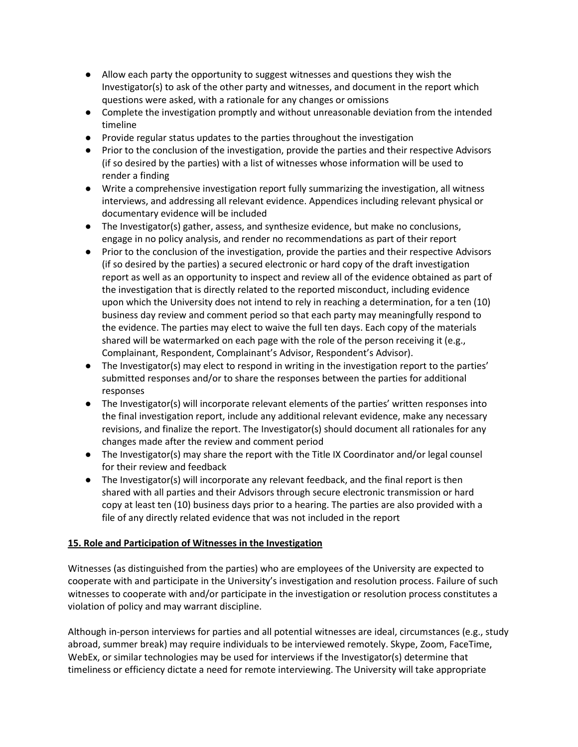- Allow each party the opportunity to suggest witnesses and questions they wish the Investigator(s) to ask of the other party and witnesses, and document in the report which questions were asked, with a rationale for any changes or omissions
- Complete the investigation promptly and without unreasonable deviation from the intended timeline
- Provide regular status updates to the parties throughout the investigation
- Prior to the conclusion of the investigation, provide the parties and their respective Advisors (if so desired by the parties) with a list of witnesses whose information will be used to render a finding
- Write a comprehensive investigation report fully summarizing the investigation, all witness interviews, and addressing all relevant evidence. Appendices including relevant physical or documentary evidence will be included
- The Investigator(s) gather, assess, and synthesize evidence, but make no conclusions, engage in no policy analysis, and render no recommendations as part of their report
- Prior to the conclusion of the investigation, provide the parties and their respective Advisors (if so desired by the parties) a secured electronic or hard copy of the draft investigation report as well as an opportunity to inspect and review all of the evidence obtained as part of the investigation that is directly related to the reported misconduct, including evidence upon which the University does not intend to rely in reaching a determination, for a ten (10) business day review and comment period so that each party may meaningfully respond to the evidence. The parties may elect to waive the full ten days. Each copy of the materials shared will be watermarked on each page with the role of the person receiving it (e.g., Complainant, Respondent, Complainant's Advisor, Respondent's Advisor).
- The Investigator(s) may elect to respond in writing in the investigation report to the parties' submitted responses and/or to share the responses between the parties for additional responses
- The Investigator(s) will incorporate relevant elements of the parties' written responses into the final investigation report, include any additional relevant evidence, make any necessary revisions, and finalize the report. The Investigator(s) should document all rationales for any changes made after the review and comment period
- The Investigator(s) may share the report with the Title IX Coordinator and/or legal counsel for their review and feedback
- The Investigator(s) will incorporate any relevant feedback, and the final report is then shared with all parties and their Advisors through secure electronic transmission or hard copy at least ten (10) business days prior to a hearing. The parties are also provided with a file of any directly related evidence that was not included in the report

# **15. Role and Participation of Witnesses in the Investigation**

Witnesses (as distinguished from the parties) who are employees of the University are expected to cooperate with and participate in the University's investigation and resolution process. Failure of such witnesses to cooperate with and/or participate in the investigation or resolution process constitutes a violation of policy and may warrant discipline.

Although in-person interviews for parties and all potential witnesses are ideal, circumstances (e.g., study abroad, summer break) may require individuals to be interviewed remotely. Skype, Zoom, FaceTime, WebEx, or similar technologies may be used for interviews if the Investigator(s) determine that timeliness or efficiency dictate a need for remote interviewing. The University will take appropriate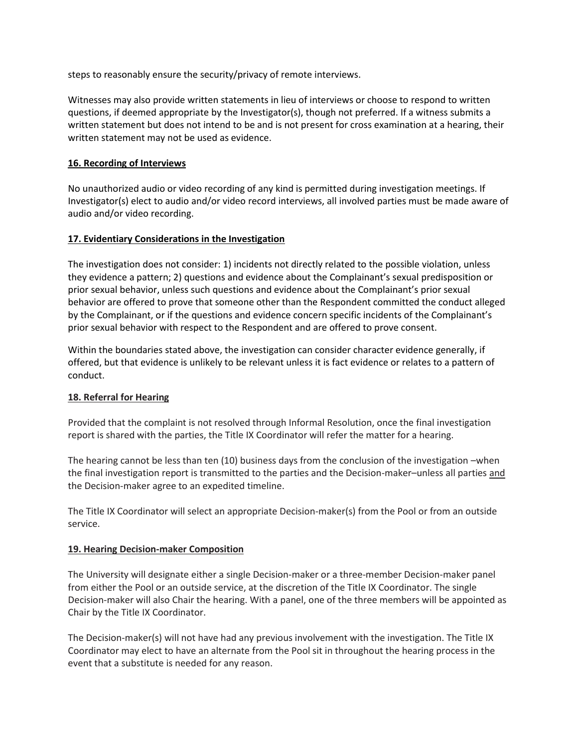steps to reasonably ensure the security/privacy of remote interviews.

Witnesses may also provide written statements in lieu of interviews or choose to respond to written questions, if deemed appropriate by the Investigator(s), though not preferred. If a witness submits a written statement but does not intend to be and is not present for cross examination at a hearing, their written statement may not be used as evidence.

#### **16. Recording of Interviews**

No unauthorized audio or video recording of any kind is permitted during investigation meetings. If Investigator(s) elect to audio and/or video record interviews, all involved parties must be made aware of audio and/or video recording.

### **17. Evidentiary Considerations in the Investigation**

The investigation does not consider: 1) incidents not directly related to the possible violation, unless they evidence a pattern; 2) questions and evidence about the Complainant's sexual predisposition or prior sexual behavior, unless such questions and evidence about the Complainant's prior sexual behavior are offered to prove that someone other than the Respondent committed the conduct alleged by the Complainant, or if the questions and evidence concern specific incidents of the Complainant's prior sexual behavior with respect to the Respondent and are offered to prove consent.

Within the boundaries stated above, the investigation can consider character evidence generally, if offered, but that evidence is unlikely to be relevant unless it is fact evidence or relates to a pattern of conduct.

#### **18. Referral for Hearing**

Provided that the complaint is not resolved through Informal Resolution, once the final investigation report is shared with the parties, the Title IX Coordinator will refer the matter for a hearing.

The hearing cannot be less than ten (10) business days from the conclusion of the investigation –when the final investigation report is transmitted to the parties and the Decision-maker–unless all parties and the Decision-maker agree to an expedited timeline.

The Title IX Coordinator will select an appropriate Decision-maker(s) from the Pool or from an outside service.

#### **19. Hearing Decision-maker Composition**

The University will designate either a single Decision-maker or a three-member Decision-maker panel from either the Pool or an outside service, at the discretion of the Title IX Coordinator. The single Decision-maker will also Chair the hearing. With a panel, one of the three members will be appointed as Chair by the Title IX Coordinator.

The Decision-maker(s) will not have had any previous involvement with the investigation. The Title IX Coordinator may elect to have an alternate from the Pool sit in throughout the hearing process in the event that a substitute is needed for any reason.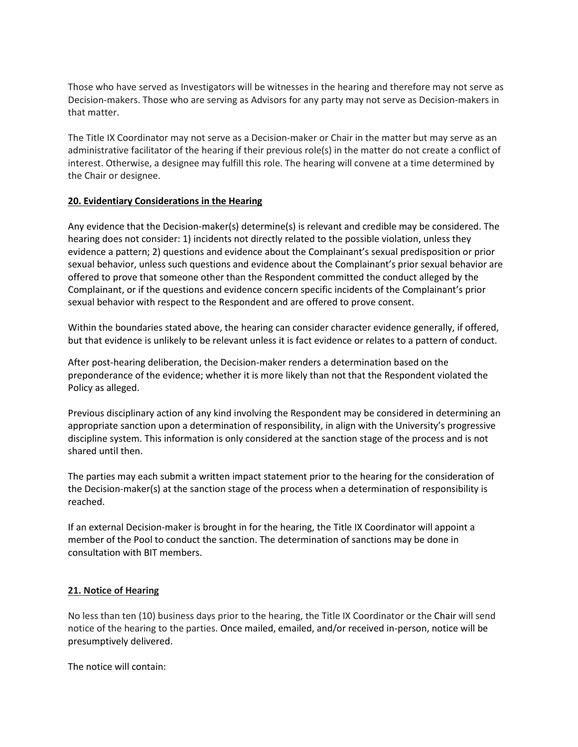Those who have served as Investigators will be witnesses in the hearing and therefore may not serve as Decision-makers. Those who are serving as Advisors for any party may not serve as Decision-makers in that matter.

The Title IX Coordinator may not serve as a Decision-maker or Chair in the matter but may serve as an administrative facilitator of the hearing if their previous role(s) in the matter do not create a conflict of interest. Otherwise, a designee may fulfill this role. The hearing will convene at a time determined by the Chair or designee.

#### **20. Evidentiary Considerations in the Hearing**

Any evidence that the Decision-maker(s) determine(s) is relevant and credible may be considered. The hearing does not consider: 1) incidents not directly related to the possible violation, unless they evidence a pattern; 2) questions and evidence about the Complainant's sexual predisposition or prior sexual behavior, unless such questions and evidence about the Complainant's prior sexual behavior are offered to prove that someone other than the Respondent committed the conduct alleged by the Complainant, or if the questions and evidence concern specific incidents of the Complainant's prior sexual behavior with respect to the Respondent and are offered to prove consent.

Within the boundaries stated above, the hearing can consider character evidence generally, if offered, but that evidence is unlikely to be relevant unless it is fact evidence or relates to a pattern of conduct.

After post-hearing deliberation, the Decision-maker renders a determination based on the preponderance of the evidence; whether it is more likely than not that the Respondent violated the Policy as alleged.

Previous disciplinary action of any kind involving the Respondent may be considered in determining an appropriate sanction upon a determination of responsibility, in align with the University's progressive discipline system. This information is only considered at the sanction stage of the process and is not shared until then.

The parties may each submit a written impact statement prior to the hearing for the consideration of the Decision-maker(s) at the sanction stage of the process when a determination of responsibility is reached.

If an external Decision-maker is brought in for the hearing, the Title IX Coordinator will appoint a member of the Pool to conduct the sanction. The determination of sanctions may be done in consultation with BIT members.

#### **21. Notice of Hearing**

No less than ten (10) business days prior to the hearing, the Title IX Coordinator or the Chair will send notice of the hearing to the parties. Once mailed, emailed, and/or received in-person, notice will be presumptively delivered.

The notice will contain: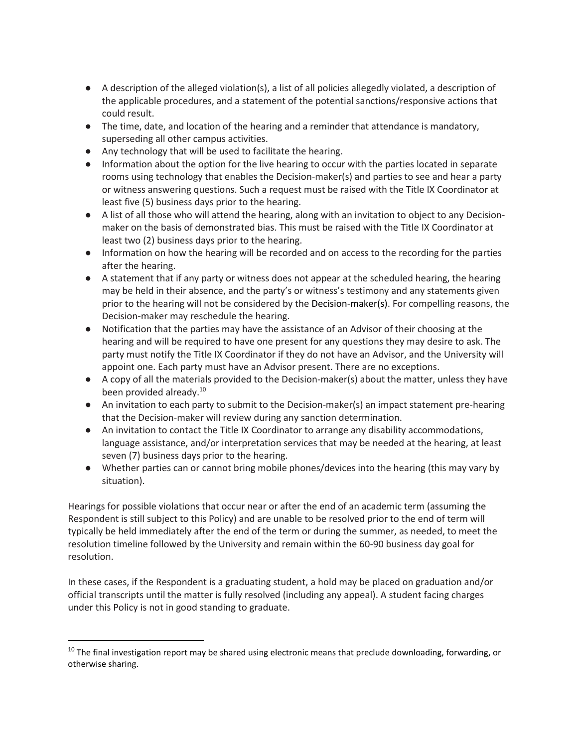- A description of the alleged violation(s), a list of all policies allegedly violated, a description of the applicable procedures, and a statement of the potential sanctions/responsive actions that could result.
- The time, date, and location of the hearing and a reminder that attendance is mandatory, superseding all other campus activities.
- Any technology that will be used to facilitate the hearing.
- Information about the option for the live hearing to occur with the parties located in separate rooms using technology that enables the Decision-maker(s) and parties to see and hear a party or witness answering questions. Such a request must be raised with the Title IX Coordinator at least five (5) business days prior to the hearing.
- A list of all those who will attend the hearing, along with an invitation to object to any Decisionmaker on the basis of demonstrated bias. This must be raised with the Title IX Coordinator at least two (2) business days prior to the hearing.
- Information on how the hearing will be recorded and on access to the recording for the parties after the hearing.
- A statement that if any party or witness does not appear at the scheduled hearing, the hearing may be held in their absence, and the party's or witness's testimony and any statements given prior to the hearing will not be considered by the Decision-maker(s). For compelling reasons, the Decision-maker may reschedule the hearing.
- Notification that the parties may have the assistance of an Advisor of their choosing at the hearing and will be required to have one present for any questions they may desire to ask. The party must notify the Title IX Coordinator if they do not have an Advisor, and the University will appoint one. Each party must have an Advisor present. There are no exceptions.
- A copy of all the materials provided to the Decision-maker(s) about the matter, unless they have been provided already.<sup>10</sup>
- An invitation to each party to submit to the Decision-maker(s) an impact statement pre-hearing that the Decision-maker will review during any sanction determination.
- An invitation to contact the Title IX Coordinator to arrange any disability accommodations, language assistance, and/or interpretation services that may be needed at the hearing, at least seven (7) business days prior to the hearing.
- Whether parties can or cannot bring mobile phones/devices into the hearing (this may vary by situation).

Hearings for possible violations that occur near or after the end of an academic term (assuming the Respondent is still subject to this Policy) and are unable to be resolved prior to the end of term will typically be held immediately after the end of the term or during the summer, as needed, to meet the resolution timeline followed by the University and remain within the 60-90 business day goal for resolution.

In these cases, if the Respondent is a graduating student, a hold may be placed on graduation and/or official transcripts until the matter is fully resolved (including any appeal). A student facing charges under this Policy is not in good standing to graduate.

 $\overline{\phantom{a}}$ 

 $10$  The final investigation report may be shared using electronic means that preclude downloading, forwarding, or otherwise sharing.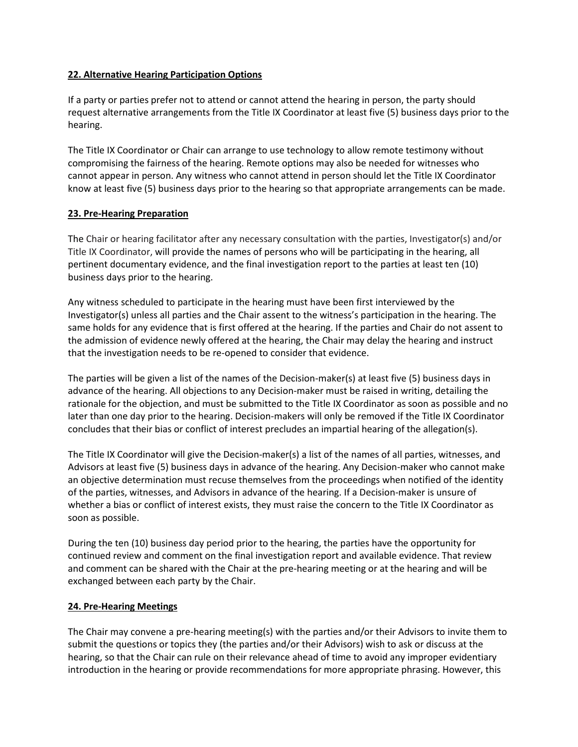### **22. Alternative Hearing Participation Options**

If a party or parties prefer not to attend or cannot attend the hearing in person, the party should request alternative arrangements from the Title IX Coordinator at least five (5) business days prior to the hearing.

The Title IX Coordinator or Chair can arrange to use technology to allow remote testimony without compromising the fairness of the hearing. Remote options may also be needed for witnesses who cannot appear in person. Any witness who cannot attend in person should let the Title IX Coordinator know at least five (5) business days prior to the hearing so that appropriate arrangements can be made.

### **23. Pre-Hearing Preparation**

The Chair or hearing facilitator after any necessary consultation with the parties, Investigator(s) and/or Title IX Coordinator, will provide the names of persons who will be participating in the hearing, all pertinent documentary evidence, and the final investigation report to the parties at least ten (10) business days prior to the hearing.

Any witness scheduled to participate in the hearing must have been first interviewed by the Investigator(s) unless all parties and the Chair assent to the witness's participation in the hearing. The same holds for any evidence that is first offered at the hearing. If the parties and Chair do not assent to the admission of evidence newly offered at the hearing, the Chair may delay the hearing and instruct that the investigation needs to be re-opened to consider that evidence.

The parties will be given a list of the names of the Decision-maker(s) at least five (5) business days in advance of the hearing. All objections to any Decision-maker must be raised in writing, detailing the rationale for the objection, and must be submitted to the Title IX Coordinator as soon as possible and no later than one day prior to the hearing. Decision-makers will only be removed if the Title IX Coordinator concludes that their bias or conflict of interest precludes an impartial hearing of the allegation(s).

The Title IX Coordinator will give the Decision-maker(s) a list of the names of all parties, witnesses, and Advisors at least five (5) business days in advance of the hearing. Any Decision-maker who cannot make an objective determination must recuse themselves from the proceedings when notified of the identity of the parties, witnesses, and Advisors in advance of the hearing. If a Decision-maker is unsure of whether a bias or conflict of interest exists, they must raise the concern to the Title IX Coordinator as soon as possible.

During the ten (10) business day period prior to the hearing, the parties have the opportunity for continued review and comment on the final investigation report and available evidence. That review and comment can be shared with the Chair at the pre-hearing meeting or at the hearing and will be exchanged between each party by the Chair.

#### **24. Pre-Hearing Meetings**

The Chair may convene a pre-hearing meeting(s) with the parties and/or their Advisors to invite them to submit the questions or topics they (the parties and/or their Advisors) wish to ask or discuss at the hearing, so that the Chair can rule on their relevance ahead of time to avoid any improper evidentiary introduction in the hearing or provide recommendations for more appropriate phrasing. However, this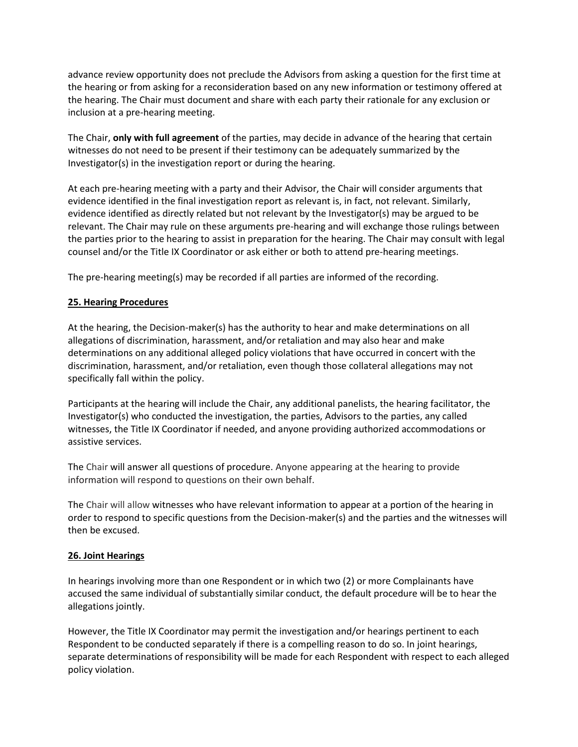advance review opportunity does not preclude the Advisors from asking a question for the first time at the hearing or from asking for a reconsideration based on any new information or testimony offered at the hearing. The Chair must document and share with each party their rationale for any exclusion or inclusion at a pre-hearing meeting.

The Chair, **only with full agreement** of the parties, may decide in advance of the hearing that certain witnesses do not need to be present if their testimony can be adequately summarized by the Investigator(s) in the investigation report or during the hearing.

At each pre-hearing meeting with a party and their Advisor, the Chair will consider arguments that evidence identified in the final investigation report as relevant is, in fact, not relevant. Similarly, evidence identified as directly related but not relevant by the Investigator(s) may be argued to be relevant. The Chair may rule on these arguments pre-hearing and will exchange those rulings between the parties prior to the hearing to assist in preparation for the hearing. The Chair may consult with legal counsel and/or the Title IX Coordinator or ask either or both to attend pre-hearing meetings.

The pre-hearing meeting(s) may be recorded if all parties are informed of the recording.

### **25. Hearing Procedures**

At the hearing, the Decision-maker(s) has the authority to hear and make determinations on all allegations of discrimination, harassment, and/or retaliation and may also hear and make determinations on any additional alleged policy violations that have occurred in concert with the discrimination, harassment, and/or retaliation, even though those collateral allegations may not specifically fall within the policy.

Participants at the hearing will include the Chair, any additional panelists, the hearing facilitator, the Investigator(s) who conducted the investigation, the parties, Advisors to the parties, any called witnesses, the Title IX Coordinator if needed, and anyone providing authorized accommodations or assistive services.

The Chair will answer all questions of procedure. Anyone appearing at the hearing to provide information will respond to questions on their own behalf.

The Chair will allow witnesses who have relevant information to appear at a portion of the hearing in order to respond to specific questions from the Decision-maker(s) and the parties and the witnesses will then be excused.

#### **26. Joint Hearings**

In hearings involving more than one Respondent or in which two (2) or more Complainants have accused the same individual of substantially similar conduct, the default procedure will be to hear the allegations jointly.

However, the Title IX Coordinator may permit the investigation and/or hearings pertinent to each Respondent to be conducted separately if there is a compelling reason to do so. In joint hearings, separate determinations of responsibility will be made for each Respondent with respect to each alleged policy violation.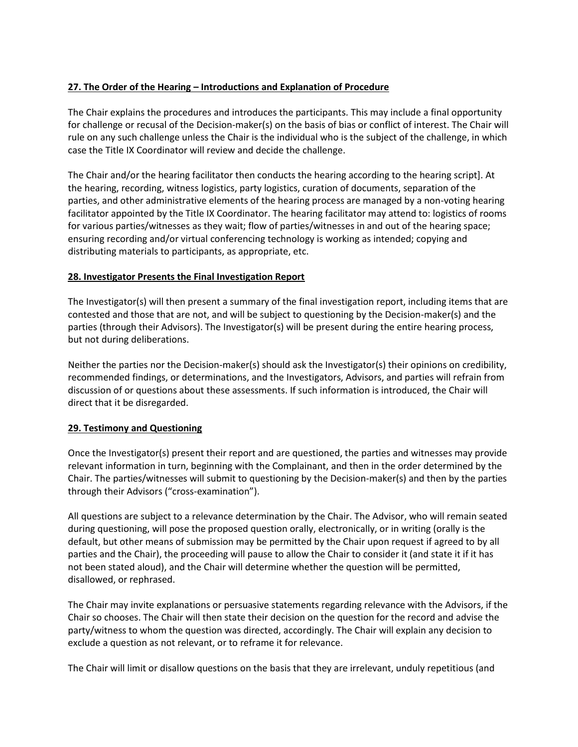# **27. The Order of the Hearing – Introductions and Explanation of Procedure**

The Chair explains the procedures and introduces the participants. This may include a final opportunity for challenge or recusal of the Decision-maker(s) on the basis of bias or conflict of interest. The Chair will rule on any such challenge unless the Chair is the individual who is the subject of the challenge, in which case the Title IX Coordinator will review and decide the challenge.

The Chair and/or the hearing facilitator then conducts the hearing according to the hearing script]. At the hearing, recording, witness logistics, party logistics, curation of documents, separation of the parties, and other administrative elements of the hearing process are managed by a non-voting hearing facilitator appointed by the Title IX Coordinator. The hearing facilitator may attend to: logistics of rooms for various parties/witnesses as they wait; flow of parties/witnesses in and out of the hearing space; ensuring recording and/or virtual conferencing technology is working as intended; copying and distributing materials to participants, as appropriate, etc.

### **28. Investigator Presents the Final Investigation Report**

The Investigator(s) will then present a summary of the final investigation report, including items that are contested and those that are not, and will be subject to questioning by the Decision-maker(s) and the parties (through their Advisors). The Investigator(s) will be present during the entire hearing process, but not during deliberations.

Neither the parties nor the Decision-maker(s) should ask the Investigator(s) their opinions on credibility, recommended findings, or determinations, and the Investigators, Advisors, and parties will refrain from discussion of or questions about these assessments. If such information is introduced, the Chair will direct that it be disregarded.

#### **29. Testimony and Questioning**

Once the Investigator(s) present their report and are questioned, the parties and witnesses may provide relevant information in turn, beginning with the Complainant, and then in the order determined by the Chair. The parties/witnesses will submit to questioning by the Decision-maker(s) and then by the parties through their Advisors ("cross-examination").

All questions are subject to a relevance determination by the Chair. The Advisor, who will remain seated during questioning, will pose the proposed question orally, electronically, or in writing (orally is the default, but other means of submission may be permitted by the Chair upon request if agreed to by all parties and the Chair), the proceeding will pause to allow the Chair to consider it (and state it if it has not been stated aloud), and the Chair will determine whether the question will be permitted, disallowed, or rephrased.

The Chair may invite explanations or persuasive statements regarding relevance with the Advisors, if the Chair so chooses. The Chair will then state their decision on the question for the record and advise the party/witness to whom the question was directed, accordingly. The Chair will explain any decision to exclude a question as not relevant, or to reframe it for relevance.

The Chair will limit or disallow questions on the basis that they are irrelevant, unduly repetitious (and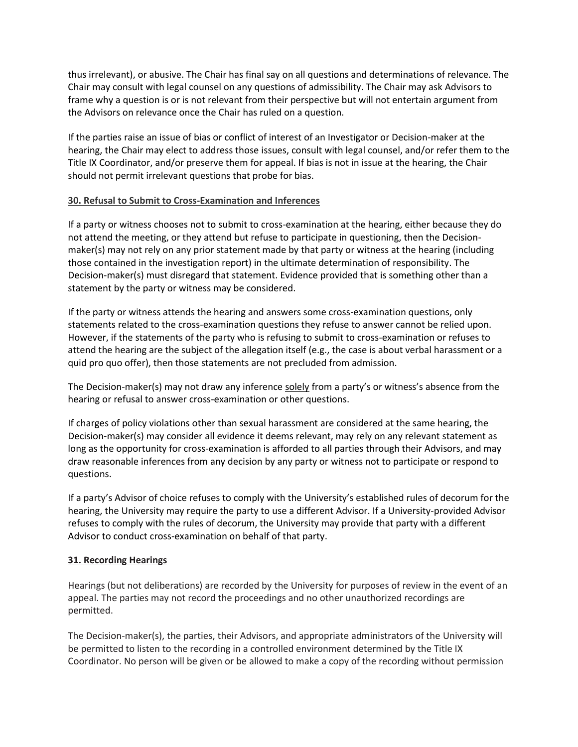thus irrelevant), or abusive. The Chair has final say on all questions and determinations of relevance. The Chair may consult with legal counsel on any questions of admissibility. The Chair may ask Advisors to frame why a question is or is not relevant from their perspective but will not entertain argument from the Advisors on relevance once the Chair has ruled on a question.

If the parties raise an issue of bias or conflict of interest of an Investigator or Decision-maker at the hearing, the Chair may elect to address those issues, consult with legal counsel, and/or refer them to the Title IX Coordinator, and/or preserve them for appeal. If bias is not in issue at the hearing, the Chair should not permit irrelevant questions that probe for bias.

### **30. Refusal to Submit to Cross-Examination and Inferences**

If a party or witness chooses not to submit to cross-examination at the hearing, either because they do not attend the meeting, or they attend but refuse to participate in questioning, then the Decisionmaker(s) may not rely on any prior statement made by that party or witness at the hearing (including those contained in the investigation report) in the ultimate determination of responsibility. The Decision-maker(s) must disregard that statement. Evidence provided that is something other than a statement by the party or witness may be considered.

If the party or witness attends the hearing and answers some cross-examination questions, only statements related to the cross-examination questions they refuse to answer cannot be relied upon. However, if the statements of the party who is refusing to submit to cross-examination or refuses to attend the hearing are the subject of the allegation itself (e.g., the case is about verbal harassment or a quid pro quo offer), then those statements are not precluded from admission.

The Decision-maker(s) may not draw any inference solely from a party's or witness's absence from the hearing or refusal to answer cross-examination or other questions.

If charges of policy violations other than sexual harassment are considered at the same hearing, the Decision-maker(s) may consider all evidence it deems relevant, may rely on any relevant statement as long as the opportunity for cross-examination is afforded to all parties through their Advisors, and may draw reasonable inferences from any decision by any party or witness not to participate or respond to questions.

If a party's Advisor of choice refuses to comply with the University's established rules of decorum for the hearing, the University may require the party to use a different Advisor. If a University-provided Advisor refuses to comply with the rules of decorum, the University may provide that party with a different Advisor to conduct cross-examination on behalf of that party.

#### **31. Recording Hearings**

Hearings (but not deliberations) are recorded by the University for purposes of review in the event of an appeal. The parties may not record the proceedings and no other unauthorized recordings are permitted.

The Decision-maker(s), the parties, their Advisors, and appropriate administrators of the University will be permitted to listen to the recording in a controlled environment determined by the Title IX Coordinator. No person will be given or be allowed to make a copy of the recording without permission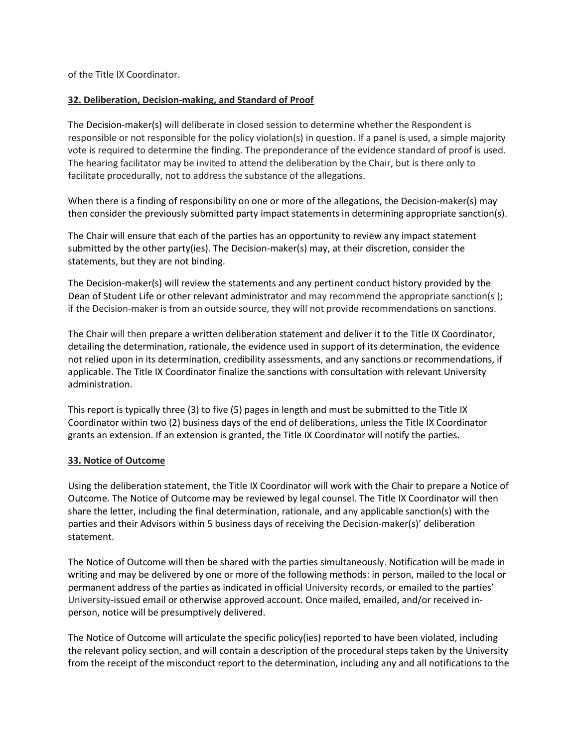of the Title IX Coordinator.

#### **32. Deliberation, Decision-making, and Standard of Proof**

The Decision-maker(s) will deliberate in closed session to determine whether the Respondent is responsible or not responsible for the policy violation(s) in question. If a panel is used, a simple majority vote is required to determine the finding. The preponderance of the evidence standard of proof is used. The hearing facilitator may be invited to attend the deliberation by the Chair, but is there only to facilitate procedurally, not to address the substance of the allegations.

When there is a finding of responsibility on one or more of the allegations, the Decision-maker(s) may then consider the previously submitted party impact statements in determining appropriate sanction(s).

The Chair will ensure that each of the parties has an opportunity to review any impact statement submitted by the other party(ies). The Decision-maker(s) may, at their discretion, consider the statements, but they are not binding.

The Decision-maker(s) will review the statements and any pertinent conduct history provided by the Dean of Student Life or other relevant administrator and may recommend the appropriate sanction(s); if the Decision-maker is from an outside source, they will not provide recommendations on sanctions.

The Chair will then prepare a written deliberation statement and deliver it to the Title IX Coordinator, detailing the determination, rationale, the evidence used in support of its determination, the evidence not relied upon in its determination, credibility assessments, and any sanctions or recommendations, if applicable. The Title IX Coordinator finalize the sanctions with consultation with relevant University administration.

This report is typically three (3) to five (5) pages in length and must be submitted to the Title IX Coordinator within two (2) business days of the end of deliberations, unless the Title IX Coordinator grants an extension. If an extension is granted, the Title IX Coordinator will notify the parties.

#### **33. Notice of Outcome**

Using the deliberation statement, the Title IX Coordinator will work with the Chair to prepare a Notice of Outcome. The Notice of Outcome may be reviewed by legal counsel. The Title IX Coordinator will then share the letter, including the final determination, rationale, and any applicable sanction(s) with the parties and their Advisors within 5 business days of receiving the Decision-maker(s)' deliberation statement.

The Notice of Outcome will then be shared with the parties simultaneously. Notification will be made in writing and may be delivered by one or more of the following methods: in person, mailed to the local or permanent address of the parties as indicated in official University records, or emailed to the parties' University-issued email or otherwise approved account. Once mailed, emailed, and/or received inperson, notice will be presumptively delivered.

The Notice of Outcome will articulate the specific policy(ies) reported to have been violated, including the relevant policy section, and will contain a description of the procedural steps taken by the University from the receipt of the misconduct report to the determination, including any and all notifications to the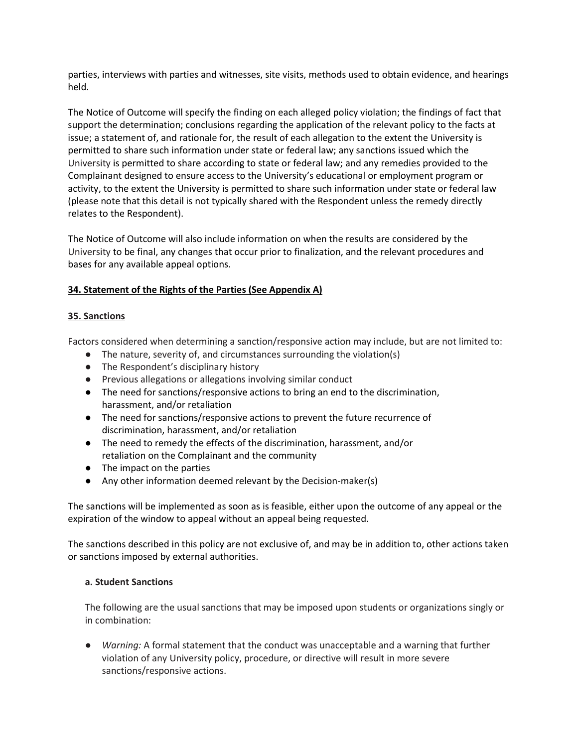parties, interviews with parties and witnesses, site visits, methods used to obtain evidence, and hearings held.

The Notice of Outcome will specify the finding on each alleged policy violation; the findings of fact that support the determination; conclusions regarding the application of the relevant policy to the facts at issue; a statement of, and rationale for, the result of each allegation to the extent the University is permitted to share such information under state or federal law; any sanctions issued which the University is permitted to share according to state or federal law; and any remedies provided to the Complainant designed to ensure access to the University's educational or employment program or activity, to the extent the University is permitted to share such information under state or federal law (please note that this detail is not typically shared with the Respondent unless the remedy directly relates to the Respondent).

The Notice of Outcome will also include information on when the results are considered by the University to be final, any changes that occur prior to finalization, and the relevant procedures and bases for any available appeal options.

### **34. Statement of the Rights of the Parties (See Appendix A)**

### **35. Sanctions**

Factors considered when determining a sanction/responsive action may include, but are not limited to:

- The nature, severity of, and circumstances surrounding the violation(s)
- The Respondent's disciplinary history
- Previous allegations or allegations involving similar conduct
- The need for sanctions/responsive actions to bring an end to the discrimination, harassment, and/or retaliation
- The need for sanctions/responsive actions to prevent the future recurrence of discrimination, harassment, and/or retaliation
- The need to remedy the effects of the discrimination, harassment, and/or retaliation on the Complainant and the community
- The impact on the parties
- Any other information deemed relevant by the Decision-maker(s)

The sanctions will be implemented as soon as is feasible, either upon the outcome of any appeal or the expiration of the window to appeal without an appeal being requested.

The sanctions described in this policy are not exclusive of, and may be in addition to, other actions taken or sanctions imposed by external authorities.

#### **a. Student Sanctions**

The following are the usual sanctions that may be imposed upon students or organizations singly or in combination:

Warning: A formal statement that the conduct was unacceptable and a warning that further violation of any University policy, procedure, or directive will result in more severe sanctions/responsive actions.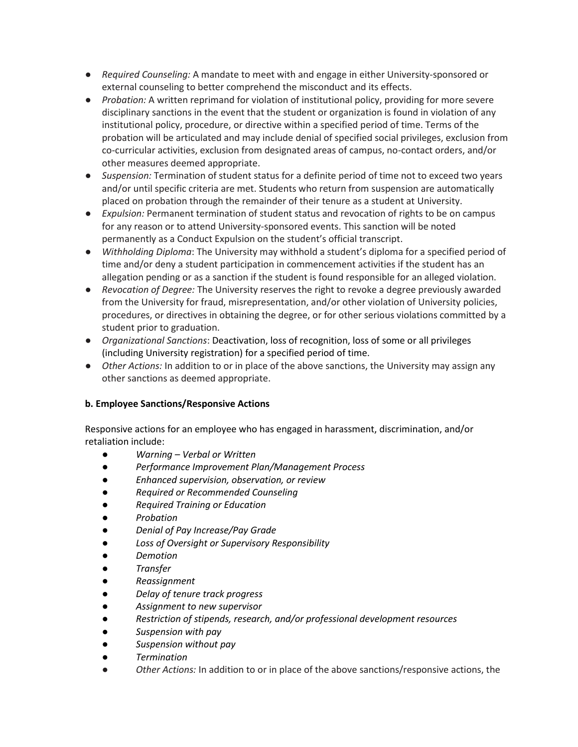- *Required Counseling:* A mandate to meet with and engage in either University-sponsored or external counseling to better comprehend the misconduct and its effects.
- *Probation:* A written reprimand for violation of institutional policy, providing for more severe disciplinary sanctions in the event that the student or organization is found in violation of any institutional policy, procedure, or directive within a specified period of time. Terms of the probation will be articulated and may include denial of specified social privileges, exclusion from co-curricular activities, exclusion from designated areas of campus, no-contact orders, and/or other measures deemed appropriate.
- *Suspension:* Termination of student status for a definite period of time not to exceed two years and/or until specific criteria are met. Students who return from suspension are automatically placed on probation through the remainder of their tenure as a student at University.
- *Expulsion:* Permanent termination of student status and revocation of rights to be on campus for any reason or to attend University-sponsored events. This sanction will be noted permanently as a Conduct Expulsion on the student's official transcript.
- *Withholding Diploma*: The University may withhold a student's diploma for a specified period of time and/or deny a student participation in commencement activities if the student has an allegation pending or as a sanction if the student is found responsible for an alleged violation.
- *Revocation of Degree:* The University reserves the right to revoke a degree previously awarded from the University for fraud, misrepresentation, and/or other violation of University policies, procedures, or directives in obtaining the degree, or for other serious violations committed by a student prior to graduation.
- *Organizational Sanctions*: Deactivation, loss of recognition, loss of some or all privileges (including University registration) for a specified period of time.
- *Other Actions:* In addition to or in place of the above sanctions, the University may assign any other sanctions as deemed appropriate.

# **b. Employee Sanctions/Responsive Actions**

Responsive actions for an employee who has engaged in harassment, discrimination, and/or retaliation include:

- *Warning – Verbal or Written*
- *Performance Improvement Plan/Management Process*
- *Enhanced supervision, observation, or review*
- *Required or Recommended Counseling*
- *Required Training or Education*
- *Probation*
- *Denial of Pay Increase/Pay Grade*
- *Loss of Oversight or Supervisory Responsibility*
- *Demotion*
- *Transfer*
- *Reassignment*
- *Delay of tenure track progress*
- *Assignment to new supervisor*
- *Restriction of stipends, research, and/or professional development resources*
- *Suspension with pay*
- *Suspension without pay*
- *Termination*
- Other Actions: In addition to or in place of the above sanctions/responsive actions, the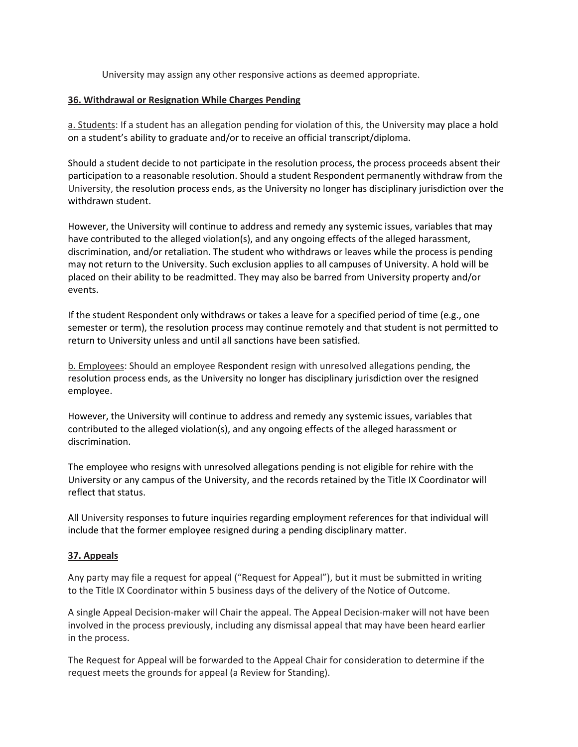University may assign any other responsive actions as deemed appropriate.

#### **36. Withdrawal or Resignation While Charges Pending**

a. Students: If a student has an allegation pending for violation of this, the University may place a hold on a student's ability to graduate and/or to receive an official transcript/diploma.

Should a student decide to not participate in the resolution process, the process proceeds absent their participation to a reasonable resolution. Should a student Respondent permanently withdraw from the University, the resolution process ends, as the University no longer has disciplinary jurisdiction over the withdrawn student.

However, the University will continue to address and remedy any systemic issues, variables that may have contributed to the alleged violation(s), and any ongoing effects of the alleged harassment, discrimination, and/or retaliation. The student who withdraws or leaves while the process is pending may not return to the University. Such exclusion applies to all campuses of University. A hold will be placed on their ability to be readmitted. They may also be barred from University property and/or events.

If the student Respondent only withdraws or takes a leave for a specified period of time (e.g., one semester or term), the resolution process may continue remotely and that student is not permitted to return to University unless and until all sanctions have been satisfied.

b. Employees: Should an employee Respondent resign with unresolved allegations pending, the resolution process ends, as the University no longer has disciplinary jurisdiction over the resigned employee.

However, the University will continue to address and remedy any systemic issues, variables that contributed to the alleged violation(s), and any ongoing effects of the alleged harassment or discrimination.

The employee who resigns with unresolved allegations pending is not eligible for rehire with the University or any campus of the University, and the records retained by the Title IX Coordinator will reflect that status.

All University responses to future inquiries regarding employment references for that individual will include that the former employee resigned during a pending disciplinary matter.

#### **37. Appeals**

Any party may file a request for appeal ("Request for Appeal"), but it must be submitted in writing to the Title IX Coordinator within 5 business days of the delivery of the Notice of Outcome.

A single Appeal Decision-maker will Chair the appeal. The Appeal Decision-maker will not have been involved in the process previously, including any dismissal appeal that may have been heard earlier in the process.

The Request for Appeal will be forwarded to the Appeal Chair for consideration to determine if the request meets the grounds for appeal (a Review for Standing).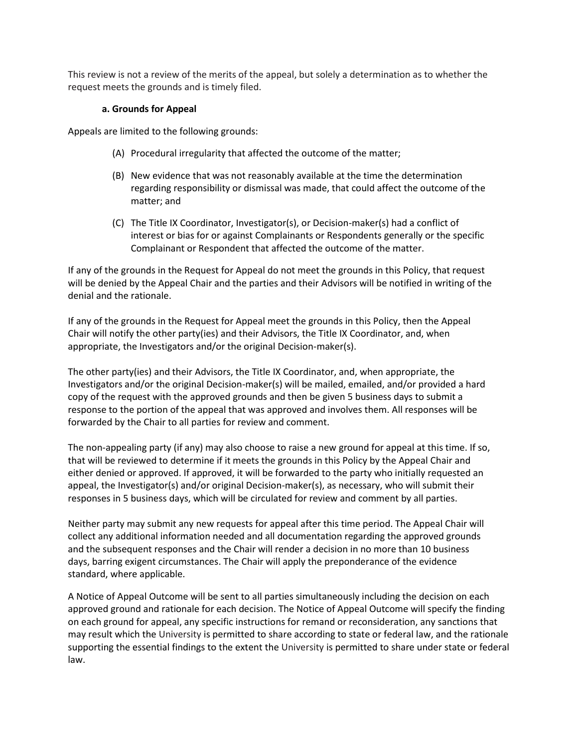This review is not a review of the merits of the appeal, but solely a determination as to whether the request meets the grounds and is timely filed.

### **a. Grounds for Appeal**

Appeals are limited to the following grounds:

- (A) Procedural irregularity that affected the outcome of the matter;
- (B) New evidence that was not reasonably available at the time the determination regarding responsibility or dismissal was made, that could affect the outcome of the matter; and
- (C) The Title IX Coordinator, Investigator(s), or Decision-maker(s) had a conflict of interest or bias for or against Complainants or Respondents generally or the specific Complainant or Respondent that affected the outcome of the matter.

If any of the grounds in the Request for Appeal do not meet the grounds in this Policy, that request will be denied by the Appeal Chair and the parties and their Advisors will be notified in writing of the denial and the rationale.

If any of the grounds in the Request for Appeal meet the grounds in this Policy, then the Appeal Chair will notify the other party(ies) and their Advisors, the Title IX Coordinator, and, when appropriate, the Investigators and/or the original Decision-maker(s).

The other party(ies) and their Advisors, the Title IX Coordinator, and, when appropriate, the Investigators and/or the original Decision-maker(s) will be mailed, emailed, and/or provided a hard copy of the request with the approved grounds and then be given 5 business days to submit a response to the portion of the appeal that was approved and involves them. All responses will be forwarded by the Chair to all parties for review and comment.

The non-appealing party (if any) may also choose to raise a new ground for appeal at this time. If so, that will be reviewed to determine if it meets the grounds in this Policy by the Appeal Chair and either denied or approved. If approved, it will be forwarded to the party who initially requested an appeal, the Investigator(s) and/or original Decision-maker(s), as necessary, who will submit their responses in 5 business days, which will be circulated for review and comment by all parties.

Neither party may submit any new requests for appeal after this time period. The Appeal Chair will collect any additional information needed and all documentation regarding the approved grounds and the subsequent responses and the Chair will render a decision in no more than 10 business days, barring exigent circumstances. The Chair will apply the preponderance of the evidence standard, where applicable.

A Notice of Appeal Outcome will be sent to all parties simultaneously including the decision on each approved ground and rationale for each decision. The Notice of Appeal Outcome will specify the finding on each ground for appeal, any specific instructions for remand or reconsideration, any sanctions that may result which the University is permitted to share according to state or federal law, and the rationale supporting the essential findings to the extent the University is permitted to share under state or federal law.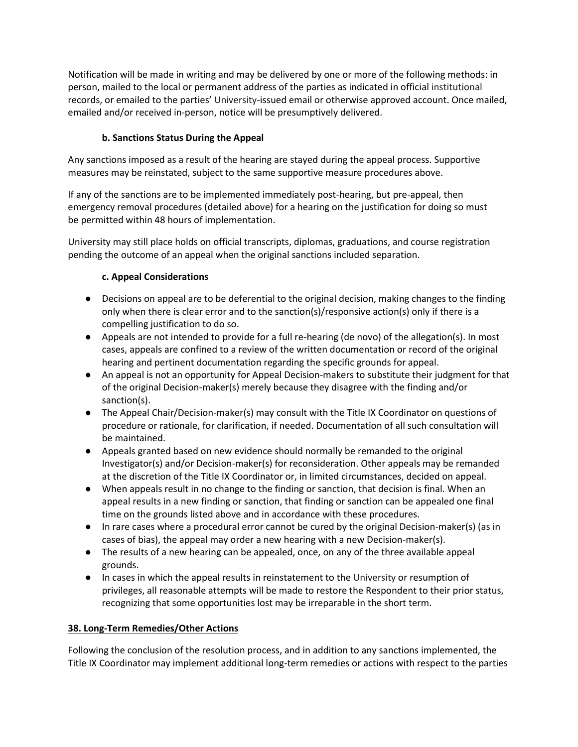Notification will be made in writing and may be delivered by one or more of the following methods: in person, mailed to the local or permanent address of the parties as indicated in official institutional records, or emailed to the parties' University-issued email or otherwise approved account. Once mailed, emailed and/or received in-person, notice will be presumptively delivered.

# **b. Sanctions Status During the Appeal**

Any sanctions imposed as a result of the hearing are stayed during the appeal process. Supportive measures may be reinstated, subject to the same supportive measure procedures above.

If any of the sanctions are to be implemented immediately post-hearing, but pre-appeal, then emergency removal procedures (detailed above) for a hearing on the justification for doing so must be permitted within 48 hours of implementation.

University may still place holds on official transcripts, diplomas, graduations, and course registration pending the outcome of an appeal when the original sanctions included separation.

# **c. Appeal Considerations**

- Decisions on appeal are to be deferential to the original decision, making changes to the finding only when there is clear error and to the sanction(s)/responsive action(s) only if there is a compelling justification to do so.
- Appeals are not intended to provide for a full re-hearing (de novo) of the allegation(s). In most cases, appeals are confined to a review of the written documentation or record of the original hearing and pertinent documentation regarding the specific grounds for appeal.
- An appeal is not an opportunity for Appeal Decision-makers to substitute their judgment for that of the original Decision-maker(s) merely because they disagree with the finding and/or sanction(s).
- The Appeal Chair/Decision-maker(s) may consult with the Title IX Coordinator on questions of procedure or rationale, for clarification, if needed. Documentation of all such consultation will be maintained.
- Appeals granted based on new evidence should normally be remanded to the original Investigator(s) and/or Decision-maker(s) for reconsideration. Other appeals may be remanded at the discretion of the Title IX Coordinator or, in limited circumstances, decided on appeal.
- When appeals result in no change to the finding or sanction, that decision is final. When an appeal results in a new finding or sanction, that finding or sanction can be appealed one final time on the grounds listed above and in accordance with these procedures.
- In rare cases where a procedural error cannot be cured by the original Decision-maker(s) (as in cases of bias), the appeal may order a new hearing with a new Decision-maker(s).
- The results of a new hearing can be appealed, once, on any of the three available appeal grounds.
- In cases in which the appeal results in reinstatement to the University or resumption of privileges, all reasonable attempts will be made to restore the Respondent to their prior status, recognizing that some opportunities lost may be irreparable in the short term.

#### **38. Long-Term Remedies/Other Actions**

Following the conclusion of the resolution process, and in addition to any sanctions implemented, the Title IX Coordinator may implement additional long-term remedies or actions with respect to the parties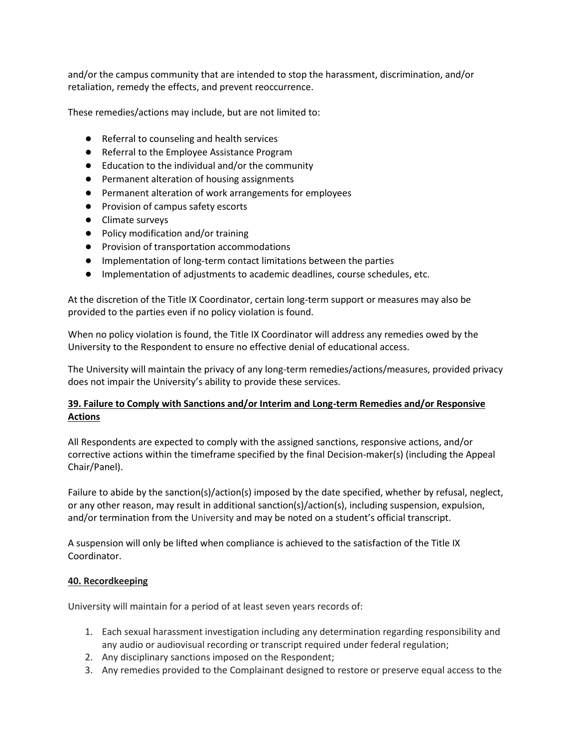and/or the campus community that are intended to stop the harassment, discrimination, and/or retaliation, remedy the effects, and prevent reoccurrence.

These remedies/actions may include, but are not limited to:

- Referral to counseling and health services
- Referral to the Employee Assistance Program
- Education to the individual and/or the community
- Permanent alteration of housing assignments
- Permanent alteration of work arrangements for employees
- Provision of campus safety escorts
- Climate surveys
- Policy modification and/or training
- Provision of transportation accommodations
- Implementation of long-term contact limitations between the parties
- Implementation of adjustments to academic deadlines, course schedules, etc.

At the discretion of the Title IX Coordinator, certain long-term support or measures may also be provided to the parties even if no policy violation is found.

When no policy violation is found, the Title IX Coordinator will address any remedies owed by the University to the Respondent to ensure no effective denial of educational access.

The University will maintain the privacy of any long-term remedies/actions/measures, provided privacy does not impair the University's ability to provide these services.

### **39. Failure to Comply with Sanctions and/or Interim and Long-term Remedies and/or Responsive Actions**

All Respondents are expected to comply with the assigned sanctions, responsive actions, and/or corrective actions within the timeframe specified by the final Decision-maker(s) (including the Appeal Chair/Panel).

Failure to abide by the sanction(s)/action(s) imposed by the date specified, whether by refusal, neglect, or any other reason, may result in additional sanction(s)/action(s), including suspension, expulsion, and/or termination from the University and may be noted on a student's official transcript.

A suspension will only be lifted when compliance is achieved to the satisfaction of the Title IX Coordinator.

#### **40. Recordkeeping**

University will maintain for a period of at least seven years records of:

- 1. Each sexual harassment investigation including any determination regarding responsibility and any audio or audiovisual recording or transcript required under federal regulation;
- 2. Any disciplinary sanctions imposed on the Respondent;
- 3. Any remedies provided to the Complainant designed to restore or preserve equal access to the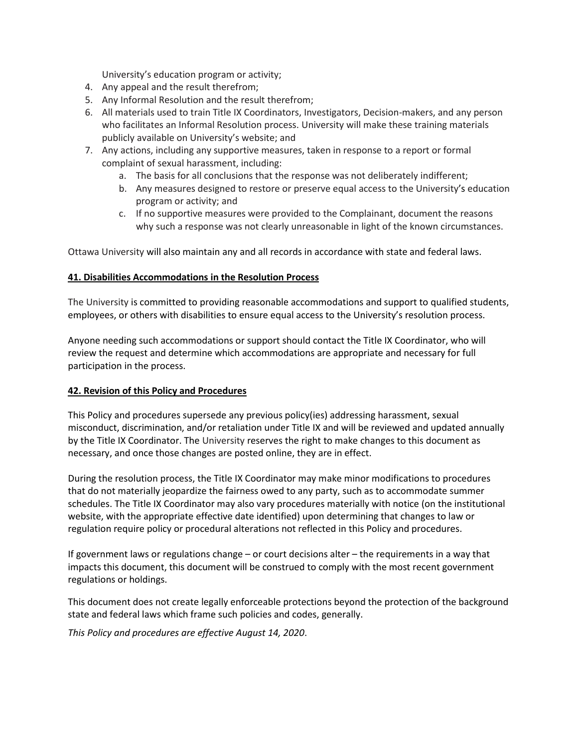University's education program or activity;

- 4. Any appeal and the result therefrom;
- 5. Any Informal Resolution and the result therefrom;
- 6. All materials used to train Title IX Coordinators, Investigators, Decision-makers, and any person who facilitates an Informal Resolution process. University will make these training materials publicly available on University's website; and
- 7. Any actions, including any supportive measures, taken in response to a report or formal complaint of sexual harassment, including:
	- a. The basis for all conclusions that the response was not deliberately indifferent;
	- b. Any measures designed to restore or preserve equal access to the University's education program or activity; and
	- c. If no supportive measures were provided to the Complainant, document the reasons why such a response was not clearly unreasonable in light of the known circumstances.

Ottawa University will also maintain any and all records in accordance with state and federal laws.

### **41. Disabilities Accommodations in the Resolution Process**

The University is committed to providing reasonable accommodations and support to qualified students, employees, or others with disabilities to ensure equal access to the University's resolution process.

Anyone needing such accommodations or support should contact the Title IX Coordinator, who will review the request and determine which accommodations are appropriate and necessary for full participation in the process.

# **42. Revision of this Policy and Procedures**

This Policy and procedures supersede any previous policy(ies) addressing harassment, sexual misconduct, discrimination, and/or retaliation under Title IX and will be reviewed and updated annually by the Title IX Coordinator. The University reserves the right to make changes to this document as necessary, and once those changes are posted online, they are in effect.

During the resolution process, the Title IX Coordinator may make minor modifications to procedures that do not materially jeopardize the fairness owed to any party, such as to accommodate summer schedules. The Title IX Coordinator may also vary procedures materially with notice (on the institutional website, with the appropriate effective date identified) upon determining that changes to law or regulation require policy or procedural alterations not reflected in this Policy and procedures.

If government laws or regulations change – or court decisions alter – the requirements in a way that impacts this document, this document will be construed to comply with the most recent government regulations or holdings.

This document does not create legally enforceable protections beyond the protection of the background state and federal laws which frame such policies and codes, generally.

*This Policy and procedures are effective August 14, 2020*.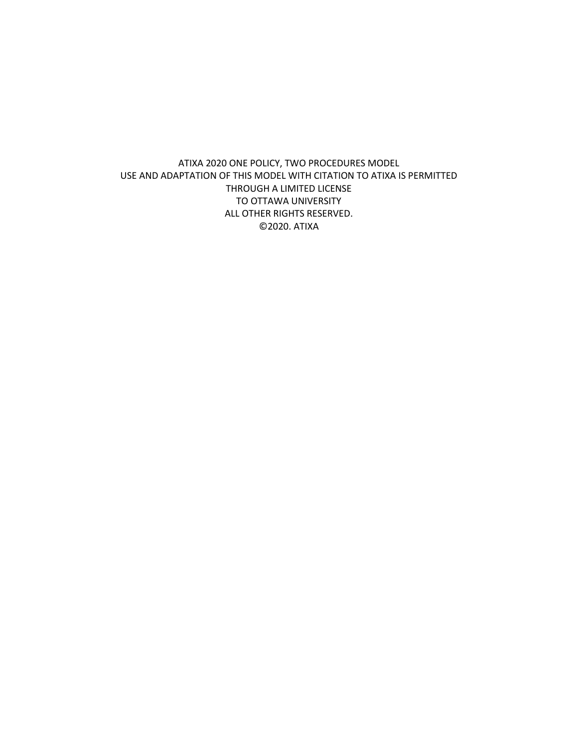ATIXA 2020 ONE POLICY, TWO PROCEDURES MODEL USE AND ADAPTATION OF THIS MODEL WITH CITATION TO ATIXA IS PERMITTED THROUGH A LIMITED LICENSE TO OTTAWA UNIVERSITY ALL OTHER RIGHTS RESERVED. ©2020. ATIXA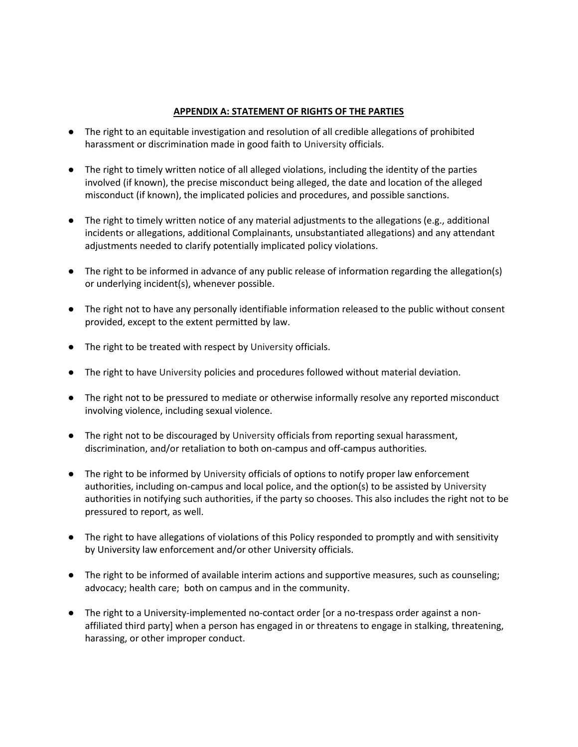#### **APPENDIX A: STATEMENT OF RIGHTS OF THE PARTIES**

- The right to an equitable investigation and resolution of all credible allegations of prohibited harassment or discrimination made in good faith to University officials.
- The right to timely written notice of all alleged violations, including the identity of the parties involved (if known), the precise misconduct being alleged, the date and location of the alleged misconduct (if known), the implicated policies and procedures, and possible sanctions.
- The right to timely written notice of any material adjustments to the allegations (e.g., additional incidents or allegations, additional Complainants, unsubstantiated allegations) and any attendant adjustments needed to clarify potentially implicated policy violations.
- The right to be informed in advance of any public release of information regarding the allegation(s) or underlying incident(s), whenever possible.
- The right not to have any personally identifiable information released to the public without consent provided, except to the extent permitted by law.
- The right to be treated with respect by University officials.
- The right to have University policies and procedures followed without material deviation.
- The right not to be pressured to mediate or otherwise informally resolve any reported misconduct involving violence, including sexual violence.
- The right not to be discouraged by University officials from reporting sexual harassment, discrimination, and/or retaliation to both on-campus and off-campus authorities.
- The right to be informed by University officials of options to notify proper law enforcement authorities, including on-campus and local police, and the option(s) to be assisted by University authorities in notifying such authorities, if the party so chooses. This also includes the right not to be pressured to report, as well.
- The right to have allegations of violations of this Policy responded to promptly and with sensitivity by University law enforcement and/or other University officials.
- The right to be informed of available interim actions and supportive measures, such as counseling; advocacy; health care; both on campus and in the community.
- The right to a University-implemented no-contact order [or a no-trespass order against a nonaffiliated third party] when a person has engaged in or threatens to engage in stalking, threatening, harassing, or other improper conduct.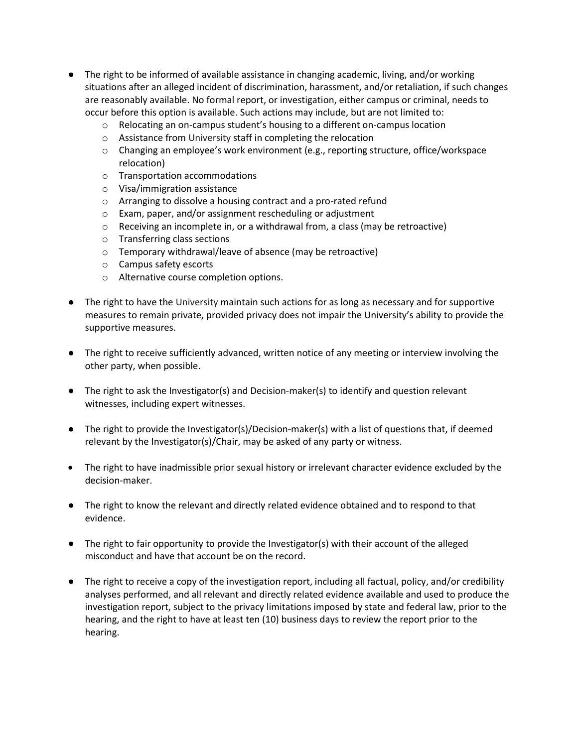- The right to be informed of available assistance in changing academic, living, and/or working situations after an alleged incident of discrimination, harassment, and/or retaliation, if such changes are reasonably available. No formal report, or investigation, either campus or criminal, needs to occur before this option is available. Such actions may include, but are not limited to:
	- o Relocating an on-campus student's housing to a different on-campus location
	- o Assistance from University staff in completing the relocation
	- $\circ$  Changing an employee's work environment (e.g., reporting structure, office/workspace relocation)
	- o Transportation accommodations
	- o Visa/immigration assistance
	- o Arranging to dissolve a housing contract and a pro-rated refund
	- o Exam, paper, and/or assignment rescheduling or adjustment
	- $\circ$  Receiving an incomplete in, or a withdrawal from, a class (may be retroactive)
	- o Transferring class sections
	- o Temporary withdrawal/leave of absence (may be retroactive)
	- o Campus safety escorts
	- o Alternative course completion options.
- The right to have the University maintain such actions for as long as necessary and for supportive measures to remain private, provided privacy does not impair the University's ability to provide the supportive measures.
- The right to receive sufficiently advanced, written notice of any meeting or interview involving the other party, when possible.
- The right to ask the Investigator(s) and Decision-maker(s) to identify and question relevant witnesses, including expert witnesses.
- The right to provide the Investigator(s)/Decision-maker(s) with a list of questions that, if deemed relevant by the Investigator(s)/Chair, may be asked of any party or witness.
- The right to have inadmissible prior sexual history or irrelevant character evidence excluded by the decision-maker.
- The right to know the relevant and directly related evidence obtained and to respond to that evidence.
- The right to fair opportunity to provide the Investigator(s) with their account of the alleged misconduct and have that account be on the record.
- The right to receive a copy of the investigation report, including all factual, policy, and/or credibility analyses performed, and all relevant and directly related evidence available and used to produce the investigation report, subject to the privacy limitations imposed by state and federal law, prior to the hearing, and the right to have at least ten (10) business days to review the report prior to the hearing.